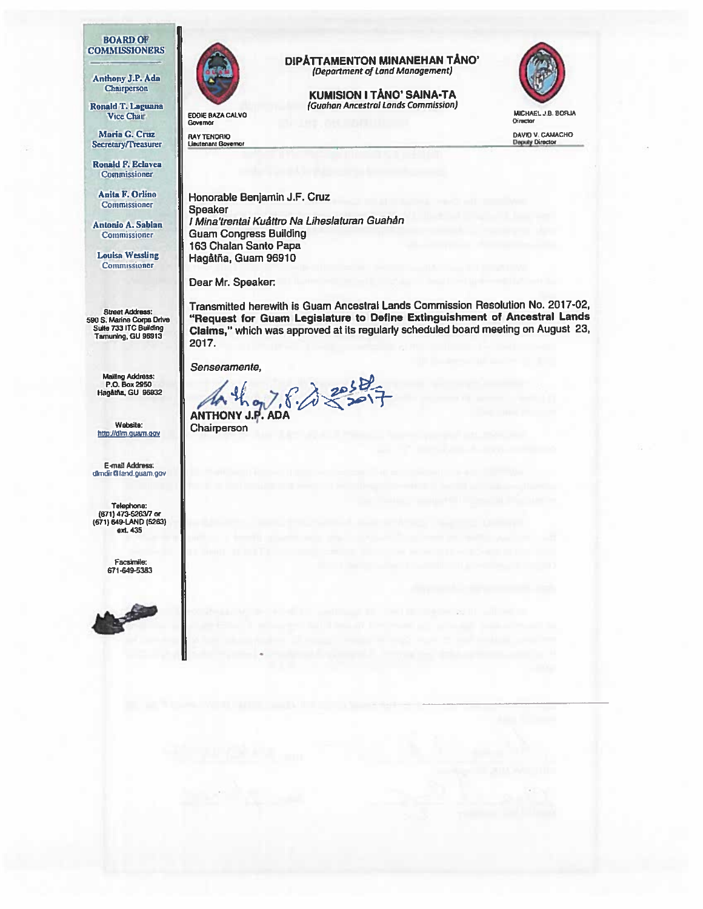#### **BOARD OF COMMISSIONERS**

Maria G. CflIZ RAY TENCRID DAV <sup>V</sup> CflMCHD Secretary/Treasurer

Ronald F. Eclavea Commissioner

Mailing Address:<br>P.O. Box 2950<br>Hagåtña, GU 96932

Website: **Website: Chairperson** 

E-mail Address: dlmdir@land.guam.gov

Telephone: (671) 473.5263/7 nr (671) 549-LAND (5263) ext. 435

> Facsimile: 671-649-5383





Vice Chair Education Contract Commission, MICHAEL J.B. 80RJA<br>Governor Director Governor **Chinese Community Community Community** Chinese Community Chinese Chinese Chinese Chinese Chinese Chinese Chinese Chinese Chinese Chinese Chinese Chinese Chinese Chinese Chinese Chinese Chinese Chinese Chinese Chi

# DIPATTAMENTON MINANEHAN TÅNO' (Department of Land Management) OMMISSIONERS<br>Anthony J.P. Ada (Department of Land Management)<br>Chairperson<br>KUMISION I TANO' SAINA-TA

Chairperson KUMISION I TANO' SAINA-TA Ronald T. Laguana (Guahan Ancestral Lands Commission)<br>Vice Chair



Anita F. Orlino Honorable Benjamin J.F. Cruz Speaker Antonio A. Sablan | I Mina'trentai Kuáttro Na Liheslaturan Guahán Commissioner **Guam Congress Building** 163 Chalan Santo Papa Louisa Wessling Hagåtña, Guam 96910

Dear Mr. Speaker

Street Address:<br>
Transmitted herewith is Guam Ancestral Lands Commission Resolution No. 2017-02,<br>
Sulte 733 ITC Building (Claims." which was approved at its regularly scheduled board meeting on August 23, "Request for Guam Legislature to Define Extinguishment of Ancestral Lands Suite 733 ITC Building **Claims,"** which was approved at its regularly scheduled board meeting on August 23, The Thunlng, GU 96913 2017.

Senseramente,

 $A + \frac{1}{2}A = \frac{1}{2}$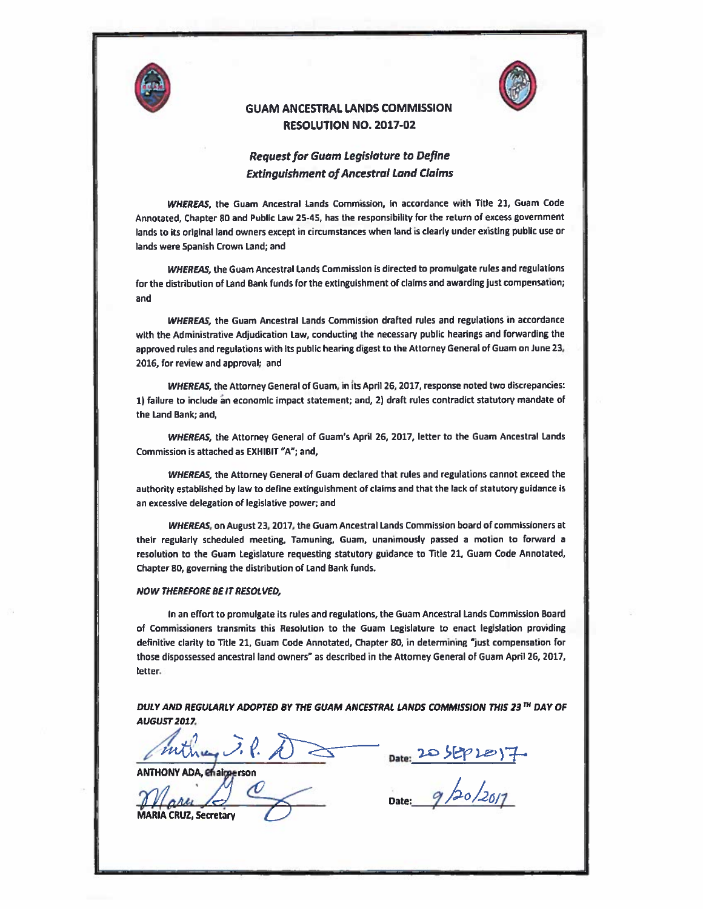



## GUAM ANCESTRAL LANDS COMMISSION RESOLUTION NO. 2017-02

## **Request for Guam Legislature to Define Extinguishment of Ancestral Land Claims**

WHEREAS, the Guam Ancestral Lands Commission, in accordance with Title 21, Guam Code Annotated, Chapter 80 and Public Law 25-45, has the responsibility for the return of excess government lands to its original land owners except in circumstances when land is clearly under existing public use or lands were Spanish Crown Land; and

WHEREAS, the Guam Ancestral Lands Commission is directed to promulgate rules and regulations for the distribution of Land Bank funds for the extinguishment of claims and awarding just compensation; and

WHEREAS the Guam Ancestral Lands Commission drafted rules and regulations in accordance with the Administrative Adjudication Law, conducting the necessary public hearings and forwarding the approved rules and regulations with its public hearing digest to the Attorney General of Guam on June 23, 2016, for review and approval; and

WHEREAS, the Attorney General of Guam, in its April 26, 2017, response noted two discrepancies: 1) failure to include an economic impact statement; and, 2) draft rules contradict statutory mandate of the Land Bank; and,

WHEREAS, the Attorney General of Guam's April 26, 2017, letter to the Guam Ancestral Lands Commission is attached as EXHIBIT "A"; and,

WHEREAS, the Attorney General of Guam declared that rules and regulations cannot exceed the authority established by law to define extinguishment of claims and that the lack of statutory guidance Is an excessive delegation of legislative power; and

WHEREAS, on August 23, 2017, the Guam Ancestral Lands Commission board of commissioners at their regularly scheduled meeting, Tamuning, Guam, unanimously passed a motion to forward a resolution to the Guam Legislature requesting statutory guidance to Title 21, Guam Code Annotated, Chapter 80, governing the distribution of Land Bank funds.

#### NOW THEREFORE BE IT RESOLVED,

In an effort to promulgate its rules and regulations, the Guam Ancestral Lands Commission Board of Commissioners transmits this Resolution to the Guam Legislature to enact legislation providing definitive clarity to Title 21, Guam Code Annotated, Chapter 80, in determining "just compensation for those dispossessed ancestral land owners" as described in the Attorney General of Guam April 26, 2017, letter.

DULY AND REGULARLY ADOPTED BY THE GUAM ANCESTRAL LANDS COMMISSION THIS 23 TH DAY OF **AUGUST 2017.** 

ANTHONY ADA, enalgeerson

Date: 20 SEP Le ) 7.

Date:  $9/20/20/7$ 

CRUZ, Secretary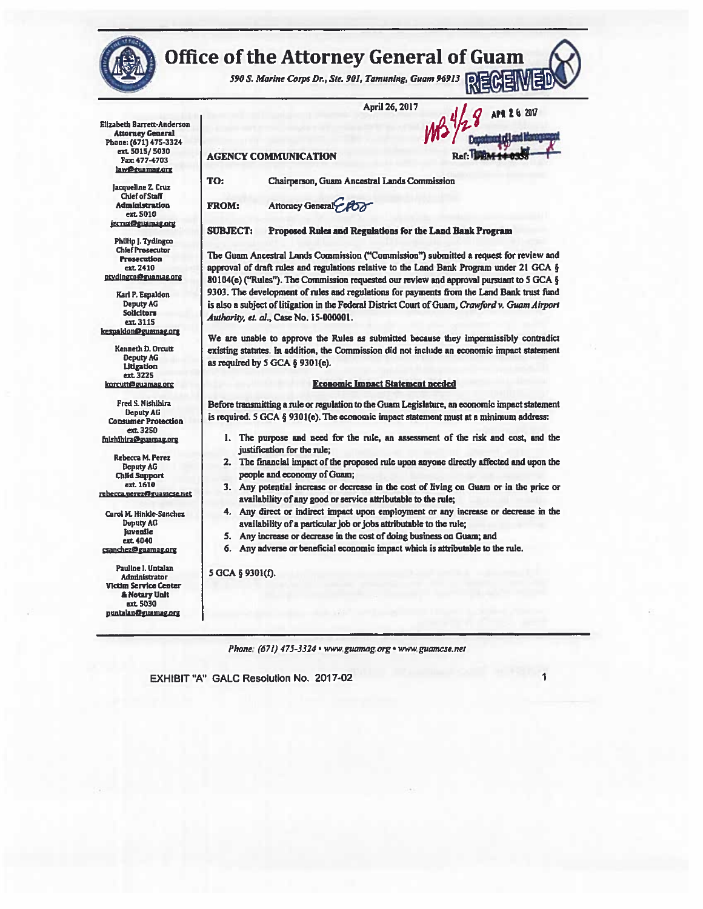

# **Office of the Attorney General of Guam**

590 S. Marine Corps Dr., Ste. 901, Tamuning, Guam 96913

April 26, 2017

VWf

APR 2 6 2017

Elizabeth Barrett-Anderson Attorney General Phone: (671) 475-3324 ext 5015/ 5030 Fax: 4774703 law@guamag.org

> Jacqueline Z. Cruz ChiefofStaff Administration ext. 5010 izcruz@guamag.org

Philip J. Tydingco Chief Prosecutor Prosecution en 2410 ntydingco@guamag.org

Karl P. Espaldon Deputy AG Solicitors ext 3115 kesoaldon@euamao ore

Kenneth 0. Orcult DeputyAG Litigation ext 3225 korcutt@guamag.org

Fred S. Nishihira DeputyAG Consumer Protection ext 3250 fnishihira@guamag.org

Rebecca M. Perez Deputy AG Child Support ext 1610 rebecca.perez@guamcse.net

Carol M. Hinide-Sanchex Deputy AG Juvenile ext. 4040 csanchez@guamag.org

Pauline I. untalan Administrator Victim Servtce Centar **& Notary Unit** ext 5030<br>puntalan@guamag.org

TO: Chairperson, Guam Ancestral Lands Commission

FROM: Attorney General

**AGENCY COMMUNICATION** 

SUBJECT: Proposed Rules and Regulations for the Land Bank Program

The Guam Ancestral Lands Commission ("Commission") submitted a request for review and approval of draft rules and regulations relative to the Land Bank Program under 21 GCA § 80104(e) ("Rules"). The Commission requested our review and approval pursuant to <sup>5</sup> GCA § 9303. The development of rules and regulations for payments from the Land Bank trust fund is also a subject of litigation in the Federal District Court of Guam, Crawford v. Guam Airport Authority, et. al., Case No. 15-000001.

We are unable to approve the Rules as submitted because they impermissibly contradict existing statutes. In addition, the Commission did not include an economic impact statement as required by <sup>S</sup> GCA § 9301(e).

#### Economic Impact Statement needed

Before transmitting a rule or regulation to the Guam Legislature, an economic impact statement is required. <sup>5</sup> GCA § 9301(e). The economic impact statement must at a minimum address:

- 1. The purpose and need for the rule, an assessment of the risk and cost, and the justification for the rule;
- 2. The financial impact of the proposed rule upon anyone directly affected and upon the people and economy of Guam;
- 3. Any potential increase or decrease in the cost of living on Guam or in the price or availability of any good or service attributable to the rule;
- 4. Any direct or indirect impact upon employment or any increase or decrease in the availability of a particular job or jobs attributable to the rule;
- 5. Any increase or decrease in the cost of doing business on Guam; and
- 6. Any adverse or beneficial economic impact which is attributable to the rule.

#### 5 GCA § 9301(f).

Phone: (671) 475-3324 · www.guamag.org · www.guamcse.net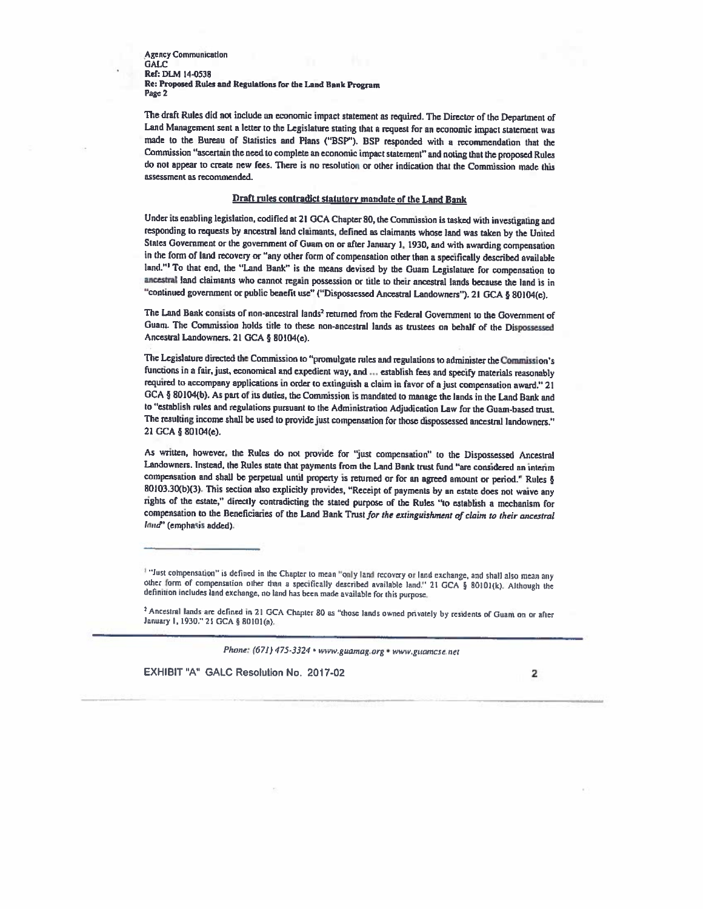Agency Communication **GALC** Ret: DLM 14-0538 Re: Proposed Rules and Regulations for the Land Bank Program Page 2

The draft Rules did not include an economic impact statement as required. The Director of the Department of Land Management sent <sup>a</sup> letter to the Legislature stating that <sup>a</sup> request for an economic impact Statement was made to the Bureau of Statistics and Plans ("BSP"). BSP responded with a recommendation that the Commission "ascertain the need to complete an economic impact statement" and noting that the proposed Rules do not appear to create new fees. There is no resolution or other indication that the Commission made this assessment as recommended.

#### Draft rules contradict statutory mandate of the Land Bank

Under its enabling legislation, codified at 21 GCA Chapter 80, the Commission is tasked with investigating and responding to requests by ancestral land claimants, defined as claimants whose land was taken by the United Stales Government or the government of Guam on or after January 1, 1930, and with awarding compensation in the form of land recovery or "any other form of compensation other than a specifically described available land." To that end, the "Land Bank" is the means devised by the Guam Legislature for compensation to ancestral land claimants who cannot regain possession or title to their ancestral lands because the land is in "continued government or public benefit use" ("Dispossessed Ancestral Landowners"). <sup>21</sup> GCA § 80104(e).

The Land Bank consists of non-ancestral lands' returned from the Federal Government to the Government of Guam. The Commission holds title to these non-ancestral lands as trustees on behalf of the Dispossessed Ancestral Landowners. 21 GCA § 80104(e).

The Legislature directed the Commission to "promulgate rules and regulations to administer the Commission's functions in a fair, just, economical and expedient way, and ... establish fees and specify materials reasonably required to accompany applications in order to extinguish a claim in favor of a just compensation award." 21 GCA § 80104(b). As part of its duties, the Commission is mandated to manage the lands in the Land Bank and to "establish rules and regulations pursuant to the Administration Adjudication Law for the Guam-based trust The resulting income shall be used to provide just compensation for those dispossessed ancestral landowners." <sup>21</sup> GCA § 80104(e).

As written, however, the Rules do not provide for 'just compensation" to the Dispossessed Ancestral Landowners. Instead, the Rules state that payments from the Land Bank trust fund "are considered an interim compensation and shall be perpetual until property is returned or for an agreed amount or period." Rules § 80103.30(b)(3). This sectinn also explicitly provides, "Receipt of payments by an esinie does not waive any tights of the estate," directly contradicting the stated purpose of the Rules "to establish <sup>a</sup> mechanism for compensation to the Beneficiaries of the Land Bank Trust for the extinguishment of claim to their ancestral land" (emphasis added).

<sup>2</sup> Ancestral lands are defined in 21 GCA Chapter 80 as "those lands owned privately by residents of Guam on or after January 1, 1930." 21 GCA § 80101(a).

Phone: (671) 475-3324 • www.guamag.org \* www.guamcse.net

<sup>&</sup>quot;Just cobipensation" is defined in the Chapter to mean 'only land recovery or land exchange, and shall also mean any other form of compensation other than <sup>a</sup> specifically described available land" <sup>21</sup> GCA § 80101(k)- Although the definition includes land exchange, no land has been wade available for this purpose.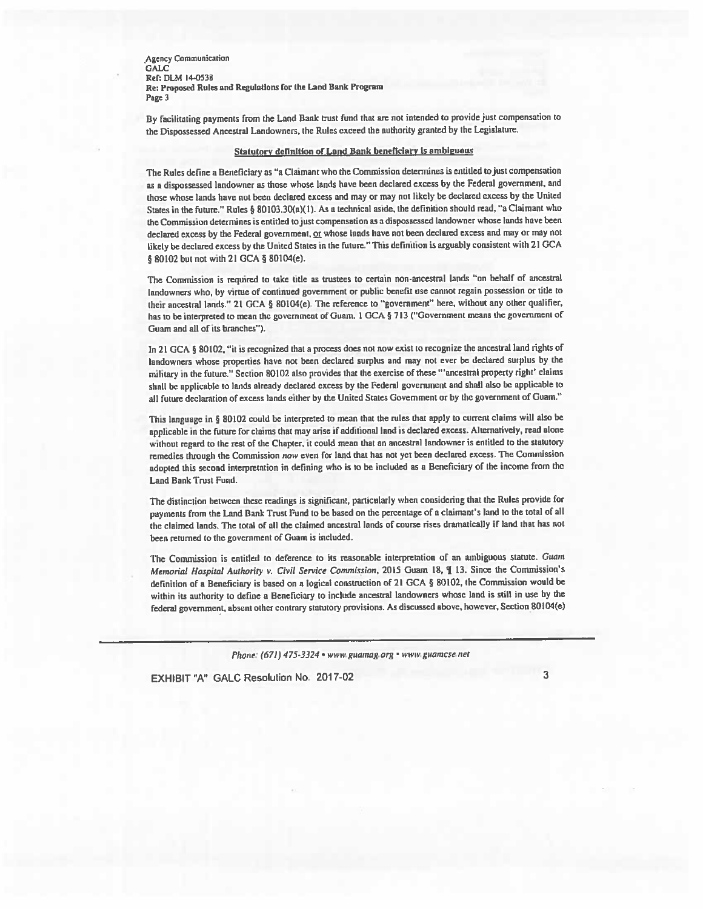Agency Communication GALC: Ref: DLM 14-0538 Re: Proposed Rules and Regulations for the Land Bank Program Page 3

By facilitating payments from the Land Bank trust fund that are not intended to provide just compensation to the Dispossessed Ancestral Landowners, the Rules exceed the authority granted by the Legislature.

#### Statutory definition of Land Bank beneficiary is ambiguous

The Rules define <sup>a</sup> Beneficiary as "a Claimant who the Commission determines is entitled tojust compensation as <sup>a</sup> dispossessed landowner as those whose lands have been declared excess by the Federal government, and those whose lands have not been declared excess and mayor may not likely be declared excess by the United States in the future." Rules § 80103.30(a)(l). As <sup>a</sup> technical aside, the definition should mad, "a Claimant who the Commission delermines is entitled tojust compensation as <sup>a</sup> dispossessed landowner whose lands have been declared excess by the Federal government, or whose lands have not been declared excess and may or may not likely be declared excess by the United States in the future." This definition is arguably consistent with <sup>21</sup> GCA § 80102 but not with 21 GCA § 80104(e).

The Commission is required to take title as trustees to certain non-ancestral lands "on behalf of ancestral landowners who, by virtue of continued governmen<sup>t</sup> or public benefit use cannot regain possession or title to their ancestral lands." <sup>21</sup> GCA § 80104(e). The reference to 'government" here, without any other qualifier, has to be interpreted to mean the government of Guam. 1 GCA § 713 ("Government means the government of Guam and all of its branches").

In 21 GCA § 80102, "it is recognized that a process does not now exist to recognize the ancestral land rights of landowners whose properties have not been declared surplus and may not ever be declared surplus by the military in the future," Section <sup>80102</sup> also provides that the exercise of these "ancestral property right' claims shall be applicable to lands already declared excess by the Federal govenunen<sup>t</sup> and shall also be applicable to all future declaration of excess lands either by the United Statcs Government or by the governmen<sup>t</sup> of Guam."

This language in § <sup>80102</sup> could be interpreted to mean that the rules that apply to current claims will also be applicable in the future for claims that may arise if additional land is declared excess. Alternatively, read alone without regar<sup>d</sup> to the rest of the Chapter, it could mean that an ancestral landowner is entitled to the statutory remedies through the Commission now even for land that has not ye<sup>t</sup> been declared excess. The Commission adopted this second lrterpreiation in defining who is to be included as <sup>a</sup> Beneficiary of the income from the Land Bank Trust Fund,

The distinction between these readings is significant, particularly when considering that the Rules provide for payments from the Land Bank Trust Fund to be based on the percentage of a claimant's land to the total of all the claimed lands, The total of all the claimed ancestral lands of course rises dramatically if land that has not been returned to the governmen<sup>t</sup> of Guam is included,

The Commission is entitled to deference to its reasonable interpretation of an ambiguous statute. Guam Memorial Hospital Authority v. Civil Service Commission, 2015 Guam 18, ¶ 13. Since the Commission's definition of a Beneficiary is based on a logical construction of 21 GCA § 80102, the Commission would be within its authority to define <sup>a</sup> Beneficiary to include ancestral landowners whose land is still in use by the federal government, absent other contrary statutory provisions. As discussed above, however. Section 80104(e)

Phone: (671) 475-3324 • www.guamag.org • www.guamcse.net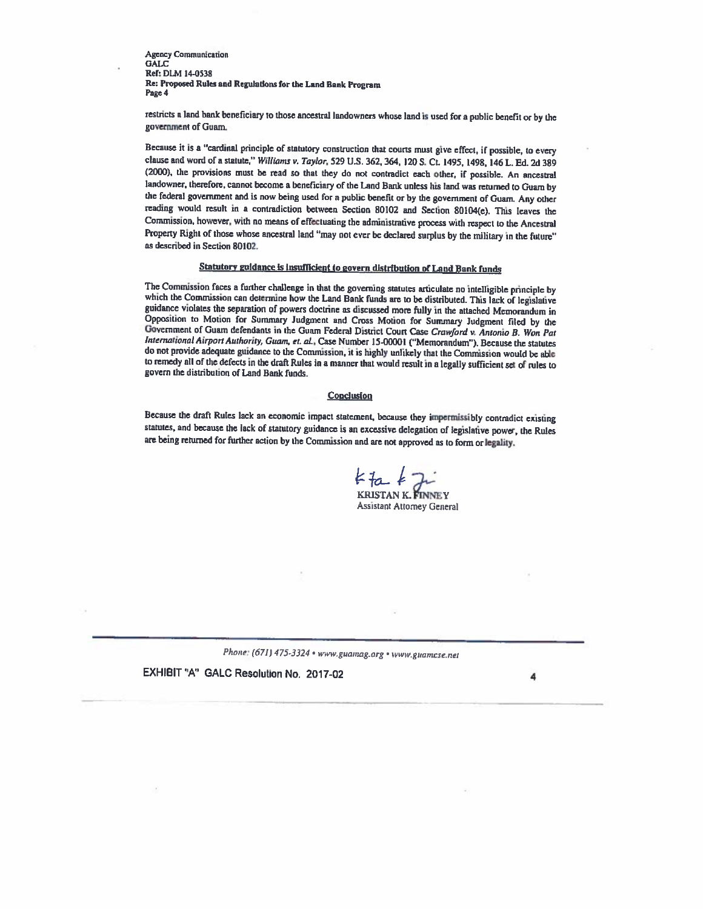Agency Communication GALC Ref: DLM 14-0538 Re: Proposed Rules and Regulations for the Land Rank Program Page 4

restricts <sup>a</sup> land bank beneficiary to those ancestral landowners whose land is used for <sup>a</sup> public benefit or by the government of Guam.

Because it is a "cardinal principle of statutory construction that courts must give effect, if possible, to every clause and word of a statute," Williams v. Taylor, 529 U.S. 362, 364, 120 S. Ct. 1495, 1498, 146 L. Ed. 2d 389 (2000), the provisions must be read so that they do not contradict each other, if possible. An ancestral landowner, therefore, cannot become <sup>a</sup> beneficiary of the Land Bank unless his land was returned to Guam by the federal government and is now being used for <sup>a</sup> public benefit or by the government of Guam. Any other reading woold result in <sup>a</sup> contradiction between Section <sup>80102</sup> and Section 80104(e). This leaves the Commission, however, with no means of effectuating the administrative process with respect to the Ancestral Property Right of those whose ancestral land "may not ever be declared surplus by the military in the future" as described in Section 80102.

## Statutory guidance is insufficient to govern distribution of Land Bank funds

The Commission faces <sup>a</sup> further challenge in that the governing statutes articulate no intelligible principle by which the Commission can determine how the Land Bank funds are to be distributed. This lack of legislative guidance violates the separation of powers doctrine as discussed more fully in the attached Memorandum in Opposition to Motion for Summary Judgment and Cross Motion for Summary Judgment filed by the Government of Guam defendants in the Guam Federal District Court Case Crawford v. Antonio B, Won Pat International Airport Authority, Guam, et. al., Case Number 15-00001 ("Memorandum"). Because the statutes do not provide adequate guidance to the Commission, it is highly unlikely that the Commission would be able to remedy all of the defects in the draft Rules in a manner that would result in a legally sufficient set of rules to govern the distribution of Land Bank funds.

#### **Conclusion**

Because the draft Rules lack an economic impact statement, because they impermissibly contradict existing statutes, and because the lack of statutory guidance is an excessive delegation of legislative power, the Rules are being returned for further action by the Commission and are not approved as to form or legality.

 $k_{\text{ta}}k_{\text{c}}$ KRISTAN K. FINNEY

Assistant Attorney General

Phone: (671) 475-3324 • www.guamag.org • www.guamcse.net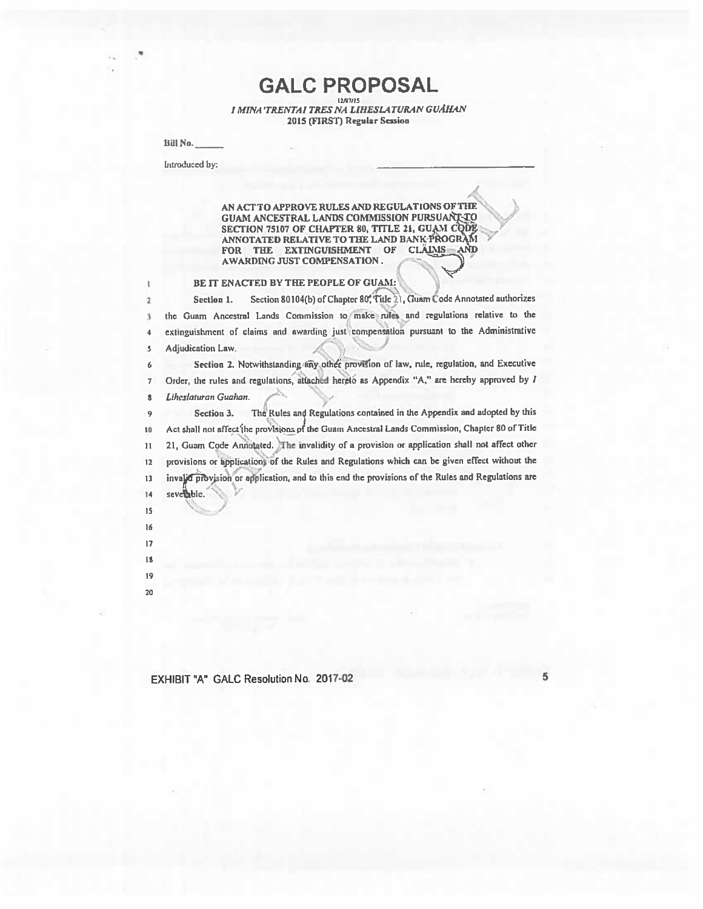GALC PROPOSAL i minis<br>I MINA TRENTAI TRES NA LIHESLATURAN GUÂHAN 2015 (FIRST) Regular Session

Bill No.

Introduced by:

AN ACETO APPROVE RULES AND REGULATIONS OFTIW .. GUAM ANCESTRAL LANDS CONBUSSION PURSUANT TO 4/ GUAM ANCESTRAL LANDS COMMISSION PURSUANT TO<br>SECTION 75107 OF CHAPTER 80, TITLE 21, GUAM CODE ANNOTATED RELATIVE TO THE LAND BANK PROGRAM FOR THE EXTINGUISHMENT OF CLAIMS AND AWARDING JUST COMPENSATION. FOR THE EXTINGUISHMENT OF CLAIMS AND AWARDING JUST COMPENSATION. )

/

I BE IT ENACTED BY THE PEOPLE OF GUAM:

2 Section 1. Section 80104(b) of Chapter 80, Title 21, Guam Code Annotated authorizes <sup>3</sup> the Guam Ancestral Lands Commission to make rules and regulations relative to the 4 extinguishment of claims and awarding just compensation pursuant to the Administrative 5 Adjudication Law. )

6 Section 2. Notwithstanding any other provision of law, rule, regulation, and Executive  $1$  Order, the rules and regulations, attached hereto as Appendix "A," are hereby approved by  $I$  $s$  Liheslaturan Guahan.

Section 3. The Rules and Regulations contained in the Appendix and adopted by this 9 10 Act shall not affect the provisions of the Guam Ancestral Lands Commission, Chapter 80 of Title ii 21, Guam Code Annotated. The invalidity of <sup>a</sup> provision or application shall not affect other 12 provisions or applications of the Rules and Regulations which can be given effect without the 13 invalid provision or application, and to this end the provisions of the Rules and Regulations are 14 severable.

- is
- 6
- I?
- It
- 19 20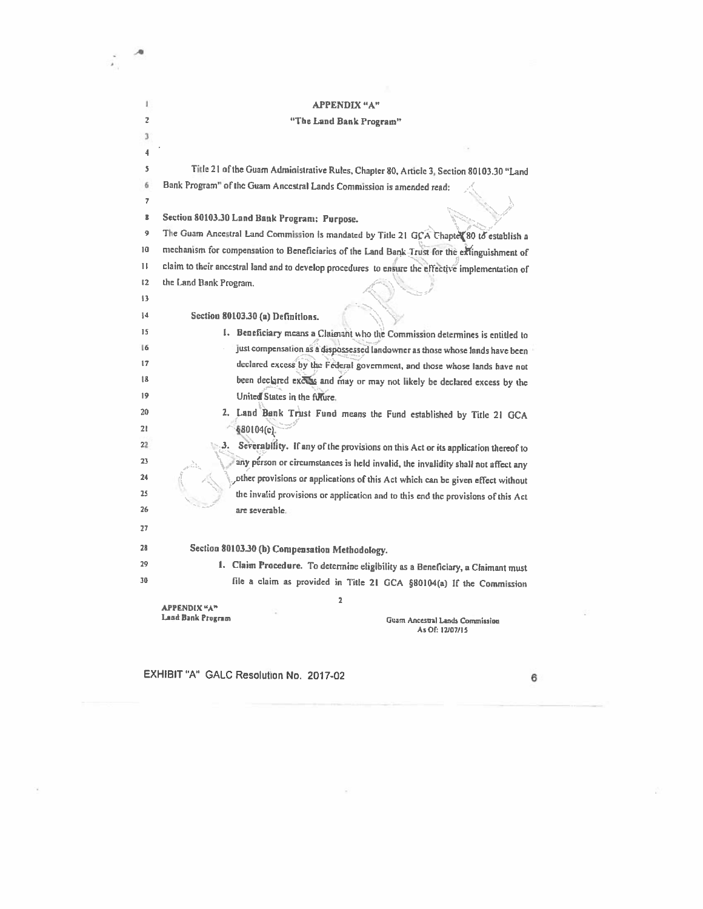#### I APPENDIX "A"

## <sup>2</sup> "The Land Bank Program"

-a

÷,

| 3            |                                                                                                   |
|--------------|---------------------------------------------------------------------------------------------------|
| 4            |                                                                                                   |
| Š.           | Title 21 of the Guam Administrative Rules, Chapter 80, Article 3, Section 80103.30 "Land          |
| 6            | Bank Program" of the Guam Ancestral Lands Commission is amended read:                             |
| 7            |                                                                                                   |
| 8            | Section 80103.30 Land Bank Program: Purpose.                                                      |
| 9            | The Guam Ancestral Land Commission is mandated by Title 21 GCA Chapter 80 to establish a          |
| 10           | mechanism for compensation to Beneficiaries of the Land Bank Trust for the extinguishment of      |
| $\mathbf{H}$ | claim to their ancestral land and to develop procedures to ensure the effective implementation of |
| 12           | the Land Bank Program.                                                                            |
| 13           |                                                                                                   |
| 14           | Section 80103.30 (a) Definitions.                                                                 |
| 15           | I. Beneficiary means a Claimant who the Commission determines is entitled to                      |
| 16           | just compensation as a dispossessed landowner as those whose lands have been                      |
| 17           | declared excess by the Federal government, and those whose lands have not                         |
| 18           | been declared excess and may or may not likely be declared excess by the                          |
| 19           | United States in the fillure.                                                                     |
| 20           | 2. Land Bank Trust Fund means the Fund established by Title 21 GCA                                |
| 21           | §80104(c).                                                                                        |
| 22           | Severability. If any of the provisions on this Act or its application thereof to<br>з.            |
| 23           | any person or circumstances is held invalid, the invalidity shall not affect any                  |
| 24           | other provisions or applications of this Act which can be given effect without                    |
| 25           | the invalid provisions or application and to this end the provisions of this Act                  |
| 26           | are severable.                                                                                    |
| 27           |                                                                                                   |
| 28           | Section 80103.30 (b) Compensation Methodology.                                                    |
| 29           | 1. Claim Procedure. To determine eligibility as a Beneficiary, a Claimant must                    |
| 30           | file a claim as provided in Title 21 GCA §80104(a) If the Commission                              |
|              | 2                                                                                                 |
|              | APPENDIX "A"<br>Land Bank Program<br>Guam Ancestral Lands Commission                              |
|              | As Of: 12/07/15                                                                                   |

 $\mathcal{G}$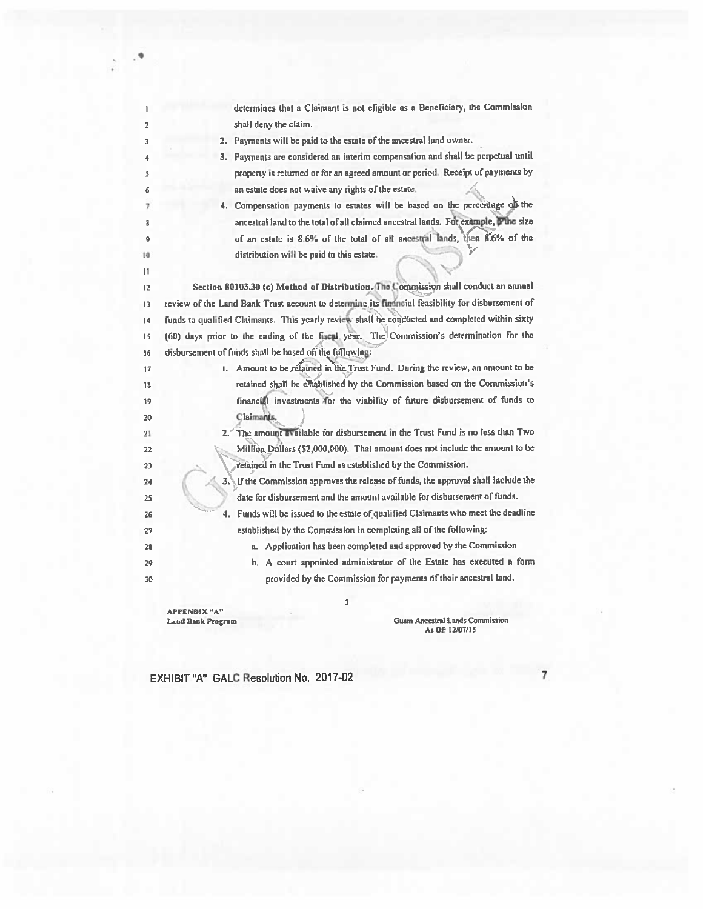| 1                   | determines that a Claimant is not eligible as a Beneficiary, the Commission                      |
|---------------------|--------------------------------------------------------------------------------------------------|
| $\overline{2}$      | shall deny the claim.                                                                            |
| 3                   | 2. Payments will be paid to the estate of the ancestral land owner.                              |
| 4                   | 3. Payments are considered an interim compensation and shall be perpetual until                  |
| \$                  | property is returned or for an agreed amount or period. Receipt of payments by                   |
| 6                   | an estate does not waive any rights of the estate.                                               |
| 7                   | 4. Compensation payments to estates will be based on the percentage of the                       |
| R                   | ancestral land to the total of all claimed ancestral lands. For example, whe size                |
| 9                   | of an estate is 8.6% of the total of all ancestral lands, then 8.6% of the                       |
| 10<br>$\mathbf{11}$ | distribution will be paid to this estate.                                                        |
| 12                  | Section 80103.30 (c) Method of Distribution. The Commission shall conduct an annual              |
| 13                  | review of the Land Bank Trust account to determine its financial feasibility for disbursement of |
| 14                  | funds to qualified Claimants. This yearly review shall be conducted and completed within sixty   |
| 15                  | (60) days prior to the ending of the fiscal year. The Commission's determination for the         |
| 16                  | disbursement of funds shall be based of the following:                                           |
| 17                  | 1. Amount to be relained in the Trust Fund. During the review, an amount to be                   |
| 18                  | retained shall be established by the Commission based on the Commission's                        |
| 19                  | financial investments for the viability of future disbursement of funds to                       |
| 20                  | Claimants.                                                                                       |
| 21                  | 2. The amount available for disbursement in the Trust Fund is no less than Two                   |
| 22                  | Million Dollars (\$2,000,000). That amount does not include the amount to be                     |
| 23                  | retained in the Trust Fund as established by the Commission.                                     |
| 24                  | 3. If the Commission approves the release of funds, the approval shall include the               |
| 25                  | date for disbursement and the amount available for disbursement of funds.                        |
| 26                  | 4. Funds will be issued to the estate of qualified Claimants who meet the deadline               |
| 27                  | established by the Commission in completing all of the following:                                |
| 28                  | a. Application has been completed and approved by the Commission                                 |
| 29                  | b. A court appointed administrator of the Estate has executed a form                             |
| 30                  | provided by the Commission for payments of their ancestral land.                                 |
|                     | 3                                                                                                |
|                     |                                                                                                  |

APPENDIX "A"

Land B.nk Program Guam Ancestral Lands Ccnmission AsOF 12107/15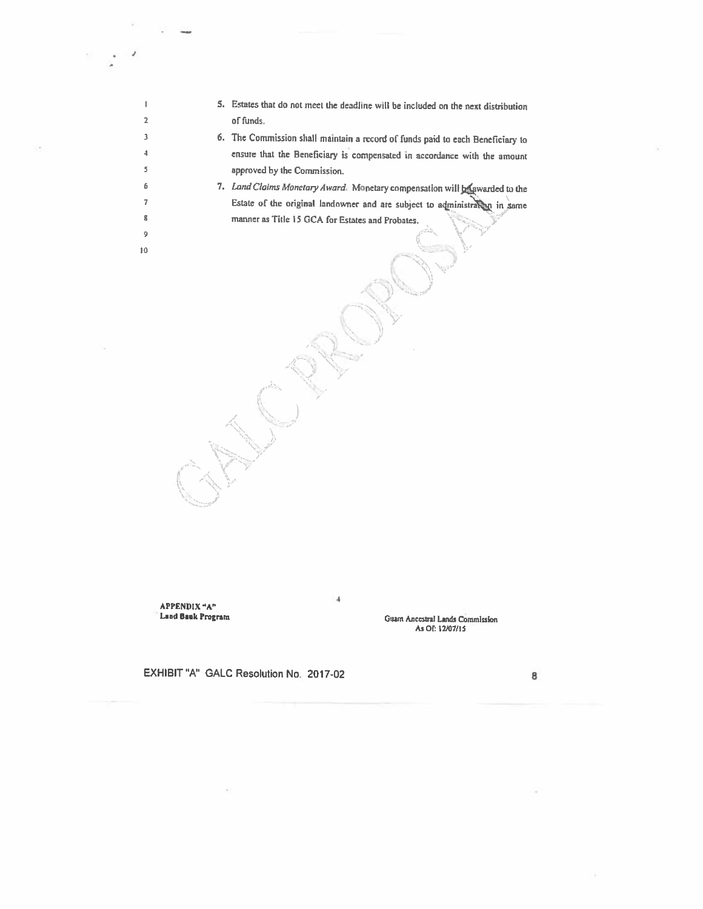- <sup>I</sup> 5. Estates that do not meet the deadline will be included on the next distribution 2 of funds.
- <sup>3</sup> 6. The Commission shall maintain <sup>a</sup> record of funds paid to each Beneflciaiy to 4 ensure that the Beneficiary is compensated in accordance with the amount <sup>5</sup> approved by the Commission.
- 6 7. Land Claims Monetary Award. Monetary compensation will be awarded to the 7 Estate of the original landowner and are subject to administration in same 8 manner as Title 15 GCA for Estates and Probates.

/ - \\_. --

4

APPENDIX 'A"Land Bank Program

I

9 0

> Guam Ancestral Lands Commission AsOf: 12/07/15

EXHIBIT 'A' GALC Resolution No. 2017-02 <sup>8</sup>

J . .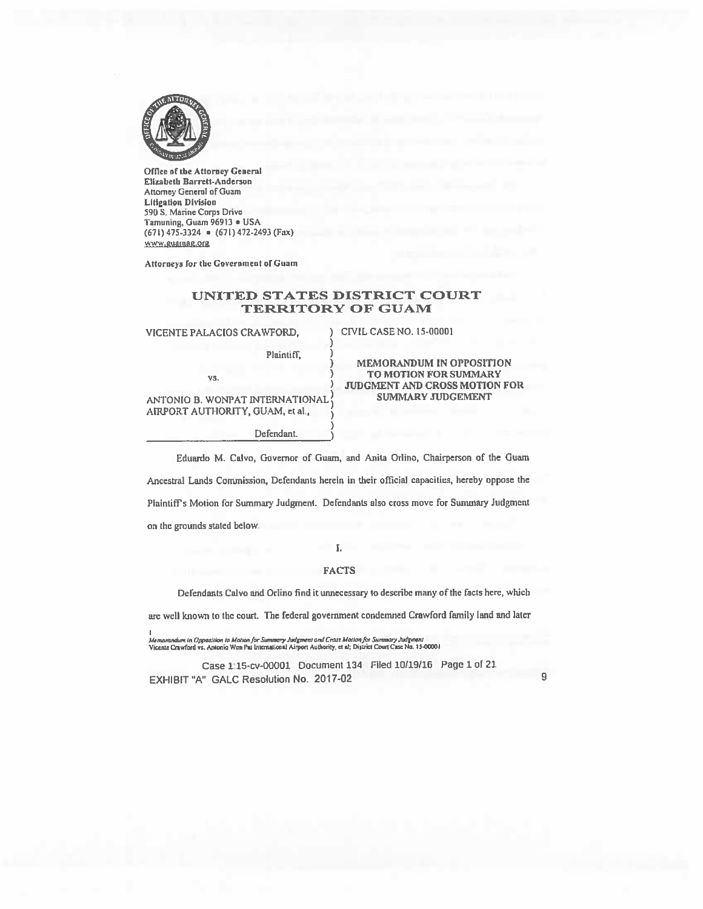

Office of the Attorney General Elizabeth Barrett-Anderson Attorney General of Guam Litigation Division 590 S. Marine Corps Drive Tarnuning, Guam 969!) • USA (671) 475-3324 • (671) 472-2493 (Fax) www.guamag.org

Attorneys for the Government of Guam

## UNITED STATES DISTRICT COURT **TERRITORY OF GUAM**

VICENTE PALACIOS CRAWFORD, ) CIVIL CASE NO. 15-00001

Plaintiff,

Defendant

vs.

ANTONIO B. WONPAT INTERNATIONAL AIRPORT AUTHORITY, GUAM, et al.,

MEMORANDUM IN OPPOSITION TO MOTION FOR SUMMARY JUDGMENT AND CROSS MOTION FOR SUMMARY JUDGEMENT

Eduardo M. Calvo, Governor of Guam, and Anita Orlino, Chairperson of the Guam

Ancestral Lands Commission, Defendants herein in their official capacities, hereby oppose the Plaintiffs Motion for Summary Judgment. Defendants nlso cross move for Summary Judgment on the grounds stated below.

I.

### **FACTS**

Defendants Calvo and Orlino find it unnecessary Ia describe many of the facts here, which

are veil known to the court. The federal government condemned Crawford family land and later

Memorandum in Opposition to Mation for Summary Judgment and Crass Motion for Summary Judgment<br>Vicente Crawford vs. Antonio Won Pat International Airport Authority, et al; District Court Case No. 15-0000

Case 1:15-cv-00001 Document 134 Filed 10/19116 Page <sup>1</sup> of 21 EXHIBIT 'A' GALC Resolution No. 2017-02

9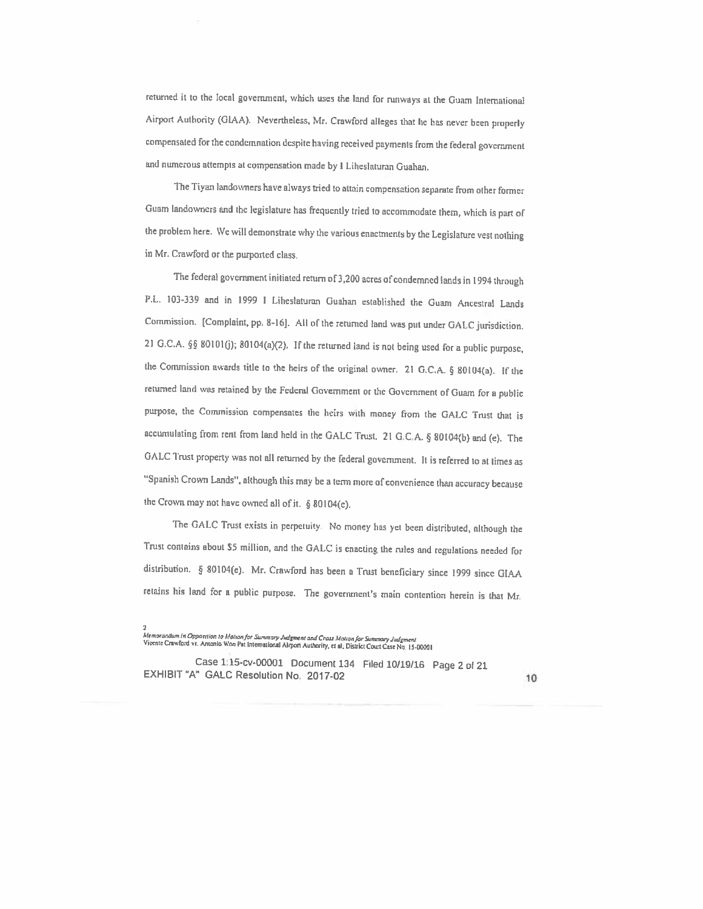returned it to the local government, which uses the land for runways at the Guam International Airport Authority (GIAA). Nevertheless, Mr. Crawford alleges that he has never been properly compensated for the condemnation despite having received payments from the federal government and numerous attempts at compensation made by <sup>t</sup> Liheslaturan Guahan.

The Tiyan landowners have always tied to attain compensation separate from other former Guam landowners and the legislature has frequently tried to accommodate them, which is part of the problem here. We will demonstrate why the various enactments by the Legislature vest nothing in Mr. Crawford or the purported class.

The federal government initiated return of 3,200 acres of condemned lands in <sup>1994</sup> through P.L. 103-339 and in <sup>1999</sup> <sup>1</sup> Liheslaturan Guahan established the Guam Ancestral Lands Commission. [Complaint, pp. 8-16]. All of the returned land was put under GALC jurisdiction. 21 G.C.A. §§ 80101(j); 80104(a)(2). If the returned land is not being used for a public purpose, the Commission awards title to the heirs of the original owner. 21 G.C.A.  $\S$  80104(a). If the returned land was retained by the Federal Government or the Government of Guam for a public purpose, the Commission compensates the heirs with money from the GALC Trust that is accumulating from rent from land held in the GALC Trust. <sup>21</sup> G.C.A. § 80104(b) and (e). The GALC Trust property was not all returned by the federal government. It is referred to at times as "Spanish Crown Lands", although this may be <sup>a</sup> term more of convenience than accuracy because the Crown may not have owned all of it. § 80104(c).

The GALC Trust exists in perpetuity. No money has yet been distributed, although the Trust contains about \$5 million, and the GALC is enacting the rules and regulations needed for distribution. § 80104(e). Mr. Crawford has been <sup>a</sup> Trust beneficiary since <sup>1999</sup> since GIAA retains his land for <sup>a</sup> public purpose. The government's main contention herein is that Mr.

s<br>Memorandum in Oppasition to Motion for Summary Judgment and Crass Motion for Summary Judgment<br>Vicente Crawford vs. Antonio Won Pat International Airport Authority, et al; District Court Case No<sub>:</sub> 15-00001

Case 1:15-cv-00001 Document <sup>134</sup> Filed 10/19/16 Page <sup>2</sup> of <sup>21</sup> EXHIBIT 'A' GALC Resolution No. 2017-02 <sup>10</sup>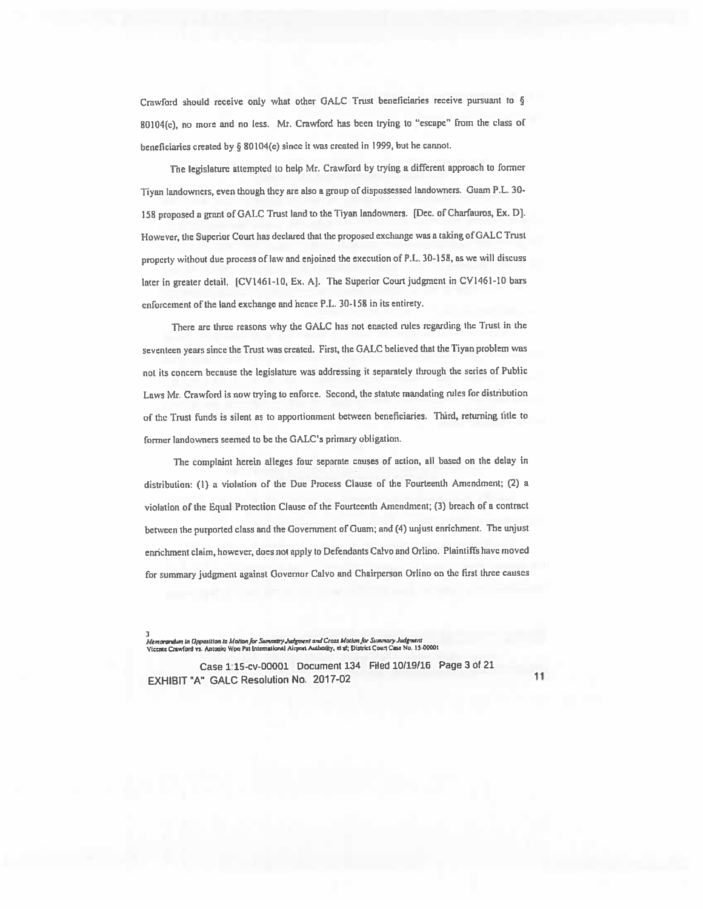Crawford should receive only what other GALC Trust beneficiaries receive pursuan<sup>t</sup> to § 80104(e), no mote and no less. Mr. Crawford has been trying to "escape' from the class of beneficiaries created by § 80104(e) since it was created in 1999, but he cannot.

The legislature attempted to help Mr. Crawford by trying a different approach to former Tiyan landowners, even though they are also a group of dispossessed landowners. Guam P.L. 30-<sup>158</sup> propose<sup>d</sup> <sup>a</sup> gran<sup>t</sup> of GALC Trust land to the Tiyan landowners. [Dec. of Charfauros, Ex. U]. However, the Superior Court has declared that the propose<sup>d</sup> exchange was <sup>a</sup> taking of GALC Trust propcrly without due process of law and enjoined the execution of P.L. 30-158, as we will discuss later in greater detail. [CV1461-10, Ex. A]. The Superior Court judgment in CV1461-10 bars enforcement of the land exchange and hence P.L. 30-158 in its entirety.

There are three reasons why the GALC has not enacted rules regarding the Trust in the seventeen years since the Trust was created. First, the GALC believed that the Tiyan problem was not its concern because the legislature was addressing it separately through the series of Public Laws Mr. Crawford is now trying to enforce. Second, the statute mandating rules for distribution of the Trust hinds is silent as to apportionment between beneficiaries. Third, returning title to former landowners seemed to be the GALC's primary obligation.

The complaint herein alleges four separate causes of action, all based on the delay in distribution: (I) <sup>a</sup> violation of the Due Process Clause of the Fourteenth Amendment; (2) <sup>a</sup> violation of the Equal Protection Clause of the Fourteenth Amendment; (3) breach of <sup>a</sup> contract between the purported class and the Government of Guam; and (4) unjutt enrichment. The unjust enrichment claim, however, does not apply to Defendants Calvo and Orlino. Plaintiffs have moved for summary judgment against Governor Calvo and Chairperson Orlino on the first three causes

.<br>Me*morandum in Opposition to Motion for Summary Judgment* and Cross Motion for Summary Judgment<br>Vicente Crawford vs. Antonia Won Pat International Airport Authority, et al; District Court Case No. 15-00001

Case 1:15-cv-00001 Document 134 riled 10/19/16 Page 3 ol 21 EXHIBIT "A" GALC Resolution No. 2017-02 11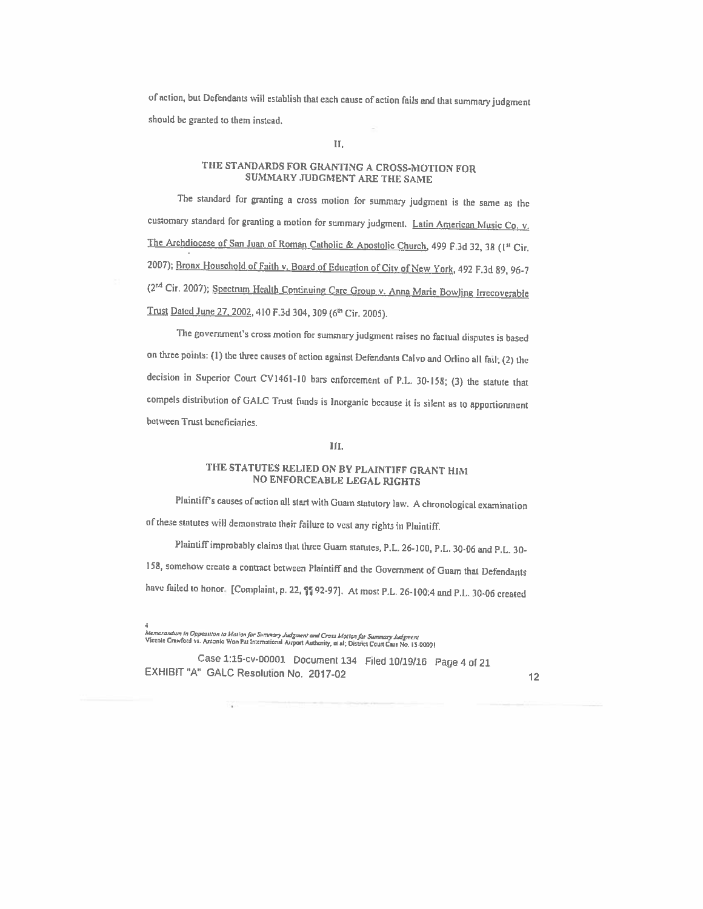of action, but Defendants will establish that each cause of action fails and that summary judgment should be granted to them instead.

#### II.

## THE STANI)AROS FOR GRANTING <sup>A</sup> CROSS-MOTION FOR SUMMARY JUDGMENT ARE THE SAME

The standard for granting <sup>a</sup> cross motion for summary judgment is the same as the customary standard for granting a motion for summary judgment. Latin American Music Co, v. The Archdiocese of San Juan of Roman Catholic & Apostolic Church, 499 F.3d 32, 38 (1<sup>st</sup> Cir. 2007); Bronx Household of Faith v. Board of Education of City of New York, 492 F.3d 89, 96-7 (2<sup>nd</sup> Cir. 2007); Spectrum Health Continuing Care Group v. Anna Marie Bowling Irrecoverable Trust Dated June 27, 2002, 410 F.3d 304, 309 (6th Cir. 2005).

The government's cross motion for summary judgment raises no factual disputes is based on three points: (1) the three causes of action against Defendants Calvo and Orlino all fail; (2) the decision in Superior Court CV146l-l0 bars enforcement of P.L. 30-158; (3) the statute that compels distribution of GALC Trust hinds is Inorganic because it is silent as to apportionment between Trust beneficiaries.

#### HI.

## THE STATUTES RELIED ON BY PLAINTIFF GRANT HIM NO ENFORCEABLE LEGAL RIGHTS

Plaintiff's causes of action all start with Guam statutory law. <sup>A</sup> chronological examination of these slalutes will demonstrate their failure to vest any rights in Plaintiff.

Plaintiff improbably claims that three Guam statutes, P.L. 26-100, P.L. 30-06 and P.L. 30-

158, somehow create <sup>a</sup> contact bctween Plaintiff and the Government of Guam that Defendants

have failed to honor. [Complaint, p. 22,  $\P$ ] 92-97]. At most P.L. 26-100:4 and P.L. 30-06 created

-<br>Memorandum in Opposuion to Motion for Summary Judgment and Cross Motion for Summary Judgment<br>Vicente Crawford vs. Antonio Won Pat International Airport Authority, et al; District Court Case No. 15-00001

Case 1:15-cv-00001 Document <sup>134</sup> Filed 10119/16 Page <sup>4</sup> ol <sup>21</sup> EXHIBIT "A" GALC Resolution No. 2017-02 12 12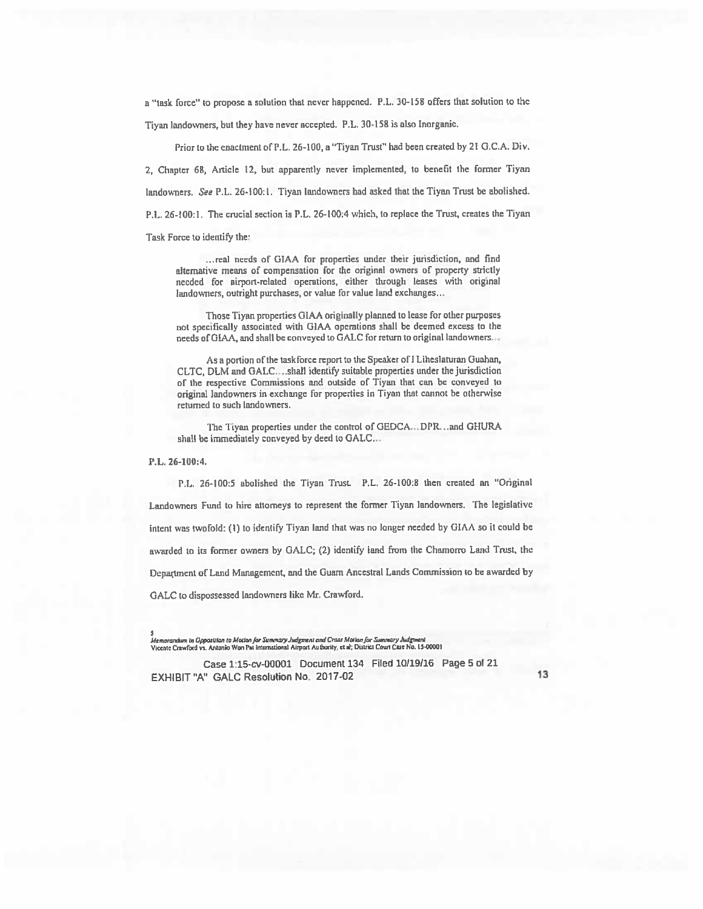a 'task force' to propose <sup>a</sup> solution that never happened. FL. 30-158 offers that solution to the Tiyan landowners, but they have never accepted. P.L. 30-158 is also Inorganic.

Prior to the enactment of FL. 26-100, <sup>a</sup> "Tiyan Trust" had been created by 21 G.C.A. Div. 2, Chapter 68, Article 12, but apparently never implemented, to benefit the former Tiyan landowners. See P.L. 26-100:1. Tiyan landowners had asked that the Tiyan Trust be abolished. P.L. 26-100:1. The crucial section is P.L. 26-100:4 which, to replace the Trust, creates the Tiyan Task Force to identify the:

... real needs of GIAA for properties under their jurisdiction, and find alternative means of compensation for the original owners of property strictly needed for airport-related operations, either through leases with original landowners, outright purchases, or value for value land exchanges...

Those Tiyan properties OIAA originally planned to lease for other purposes not specifically associated with GIAA operations shall be deemed excess to the needs of GIAA, and shall be conveyed to GALC for return to original landowners...

As a portion of the taskforce report to the Speaker of I Liheslaturan Guahan, CLTC, DLM and GALC....shall identify suitable properties under the jurisdiction of the respective Commissions and outside of fiyan that can be conveyed to original landowners in exchange for properties in Tiyan that cannot be otherwise returned to such landowners.

The Tiyan properties under the control of GEDCA...DPR...and GHURA shall he immediately conveyed by deed to GALC,..

P.L. 26-100:4.

P.L. 26-100:5 abolished the Tiyan Trust P.L. 26-100:8 then created an "Original Landowners Fund to hire attorneys to represent the former Tiyan landowners. The legislative intent was twofold: (1) to identify Tiyan land that was no longer needed by GIAA so it could be awarded to its former owners by GALC; (2) identify land from the Chamorro Land Trust, the Department of Land Management, and the Guam Ancestral Lands Commission to be awarded by GALC to dispossessed landowners like Mr. Crawford.

.<br>Memorandum in Oppasiiion to Motion for Summary Judgment and Crass Motion for Summary Judgment<br>Vicente Crawford vs. Antonio Won Pat International Airport Authority, et al; District Court Case No. 15-0000!

Case 1:15-cv-00001 Document 134 Filed 10/19/16 Page 5 of 21 EXHIBIT "A" GALC Resolution No. 2017-02 13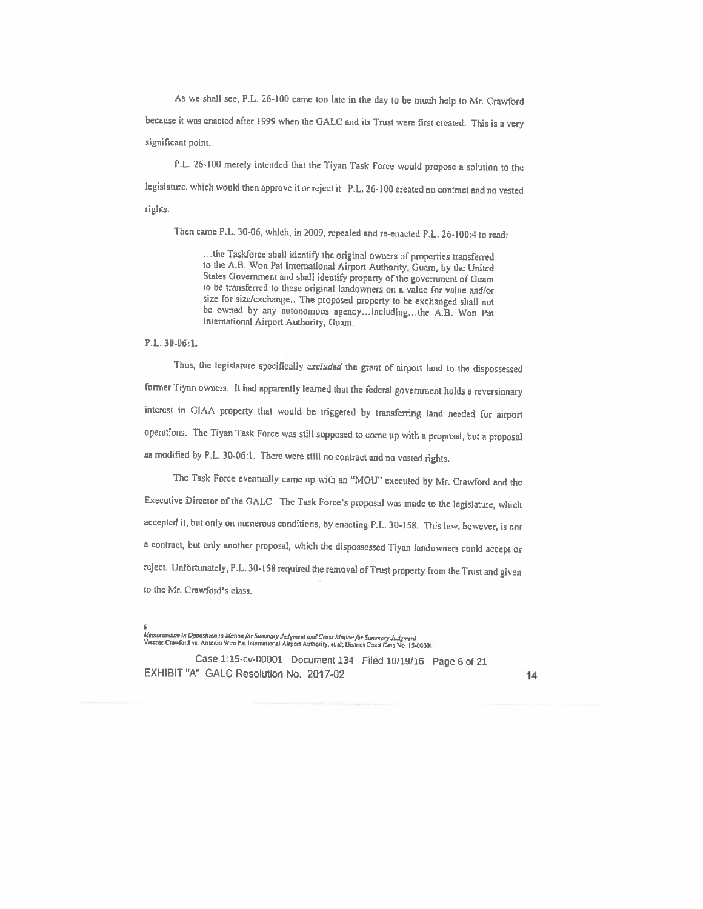As we shall see, P.L. 26-100 came too late in the day to be much help to Mr. Crawford because it was enacted after 1999 when the GALC and its Trust were first created. This is a very significant point.

P.L. 26-100 merely intended that the Tiyan Task Force would propose a solution to the legislature, which would then approve it or reject it. FL. 26-100 created no contract and no vested rights.

Then came P.L. 30-06, which, in 2009, repealed and re-enacted FL. 26-100:4 to read:

...the Taskforce shall identify the original owners of properties transferred to the A.B. Won Pat International Airport Authority, Guam, by the United States Government and shail identify property of the government of Guam to be cransfened to these original landowners on <sup>a</sup> vaiue for value and/or size for size/exchange.. The proposed property to be exchanged shall not be owned by any autonomous agency...including...the A.B. Won Pat International Airport Authority, Guam.

### FL. 30-06:1.

Thus, the legislature specifically excluded the grant of airport land to the dispossessed former Tiyan owners. It had apparently learned that the federal government holds a reversionary interest in GIAA property that would be triggered by transferring land needed for airport operations. The Tiyan Task Force was still supposed to come up with <sup>a</sup> proposal, but <sup>a</sup> proposal as modified by FL. 30-06:1. 'There were still no contract and no vested rights.

The Task Force eventually came up with an "MOW' executed by Mr. Crawford and the Executive Director of the GALC. The Task Force's proposal was made to the legislature, which accepted it, but only on numerous conditions, by enacting P.L. 30-158. This law, however, is not <sup>a</sup> contract, but only another proposal, which the dispossessed Tiyan landowners could accept or reject. Unfortunately, FL. 30-158 required the removal of Trust properly from the Trust and <sup>g</sup>iven to the Mr. Cravford's class.

kfemarandum in Opposition to Mation for Summary Judgment and Cross Motion for Summary Judgment<br>Vicente Crawford vs. Antonio Won Pat International Airport Authority, et al; District Court Case No. 15-0000

Case 1:15-cv-00001 Document <sup>134</sup> Piled 10/19/16 Page <sup>6</sup> of <sup>21</sup> EXHIBIT"A" GALC Resolution No- 2017-02 14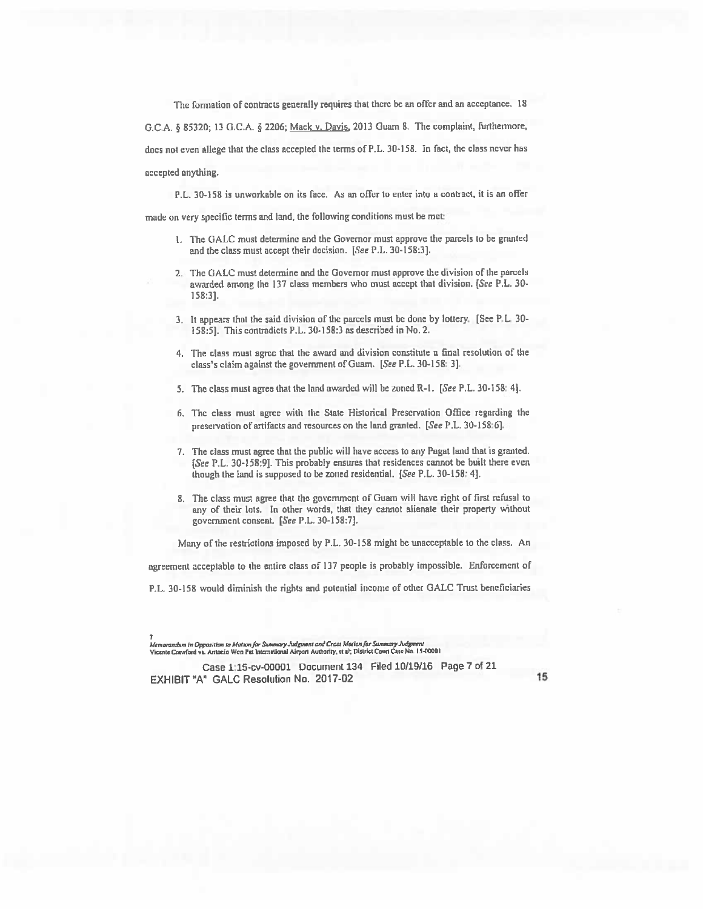The formation of contracts generally requires that there be an offer and an acceptance. 18 G.C.A. § 85320; 13 G.C.A. § 2206; Mack v. Davis, 2013 Guam 8. The complaint, furthermore, does not even allege that the class accepted the terms of P.L. 30-158. In fact, the class never has accepted anything.

P.L. 30-158 is unworkable on its face. As an offer to enter into a contract, it is an offer

made on very specific terms and land, the following conditions must be met:

- 1. The GALC must determine and the Governor must approve the parcels to be granted and the class must accept their decision. [See P.L. 30-158:3].
- 2. The OALC must determine and the Governor must approve the division of the parcels awarded among the 137 class members who must accept that division. [See P.L. 30- 158:3].
- 3. It appears that the said division of the parcels must be done by lottery. [See P.L. 30 158:5]. This contradicts P,L. 30-158:3 as described in No.2.
- 4. The class must agree that the award and division constitute a final resolution of the class's claim against the government of Guam. [See P.L. 30-158: 3].
- 5. The class must agree that the land awarded will he zoned R-l. [See P.L. 30-158: 4].
- 6, The class must agree with the State Historical Preservation Office regarding the preservation of artifacts and resources on the land granted. [See P.L. 30-158:6].
- 7. The class must agree that the public will have access to any Pagat land that is granted. [See P.L. 30-158:91. This probably ensures that residences cannot be built there even though the land is supposed to be zoned residential. [See FL. 30-158: 4].
- 8. The class must agree that the government of Guam will have right of first refusal to any of their lots. In other words, that they cannot alienate their property without government consent. [See P.L. 30-158:7].

Many of the restrictions imposed by FL. 30-158 might be unacceptable to the class. An

agreement acceptable to the entire class of 137 people is probably impossible. Enforcement of

P.L. 30-158 would diminish the rights and potential income of other GALC Trust beneficiaries

Case 1:15-cv-00001 Document 134 riled 10/19/16 Page 7 ol 21 EXHIBIT "A" GALC Resolution No. 2017-02 15

Memarandum in Opposition to Motton for Summary Judgment and Crass Motion for Summary Judgment<br>Vicente Crawford vi, Antonio Won Pat International Airport Authority, et al; District Court Case No. 15-00001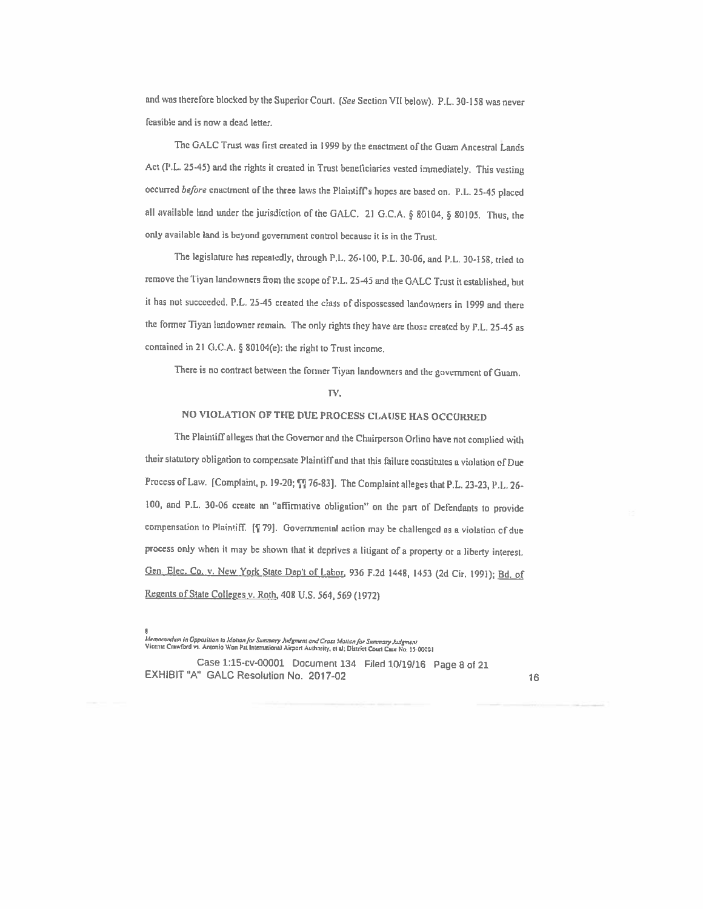and was therefore blocked by the Superior Court. (See Section VII below). P.L. 30-158 was never feasible and is now <sup>a</sup> dead letter.

The GALC Trust was first created in <sup>1999</sup> by the enactment of the Guam Ancestral Lands Act (P.L. 25-45) and the rights it created in Trust beneficiaries vested immediately. This vesting occurred before enactment of the three laws the Plaintiff's hopes are based on. P.L. 25-45 placed all available land under the jurisdiction of the GALC. 21 G.C.A. § 80104, § 80105. Thus, the only available land is beyond government control because it is in the Trust.

The legislature has repeatedly, through P.L. 26-100, P.L. 30-06, and P.L. 30-158, tried to remove the Tiyan landowners from the scope of P.L, 25-45 and the GALC Trust it established, but it has not succeeded. P.L. 25-45 created the class of dispossessed landowners in 1999 and there the former Tiyan landowner remain. The only rights they have are those created by P.L. 25-45 as contained in <sup>21</sup> G.C.A. § 80104(e): the right to Trust income.

There is no contract between the former Tiyan landowners and the government of Guam.

#### TV.

## NO VIOLATION OF THE DUE PROCESS CLAUSE HAS OCCURRED

The PlaintitTalleges that the Governor and the Chairperson Orlino have not complied with their statutory obligation to compensate Plaintiff and that this failure constitutes a violation of Due Process of Law. [Complaint, p. 19-20; ''] 76-83]. The Complaint alleges that P.L. 23-23, P.L. 26-100, and P.L. 30-06 create an "affirmative obligation" on the part of Defendants to provide compensation to Plaintiff. [  $\sqrt{ }$  79]. Governmental action may be challenged as a violation of due process only when it may be shown that it deprives <sup>a</sup> litigant of <sup>a</sup> property or <sup>a</sup> liberty interest. Gen. Elec. Co. v. New York State Dep't of Labor, 936 F.2d 1448, 1453 (2d Cir. 1991); Bd. of Regents of State Colleges v. Roth, 408 U.S. 564, 569 (1972)

Case 1:15-cv-00001 Document 134 Filed 10/19/16 Page 8 of 21 EXHIBIT "A" GALC Resolution No. 2017-02 16

a<br>Intemarandum in Opposition to Motton for Summary Judgment and Crass Motton for Summary Judgment<br>Vicente Crawford vs. Antonio Won Pat International Airport Autharity, et al; District Court Case No. 15-00001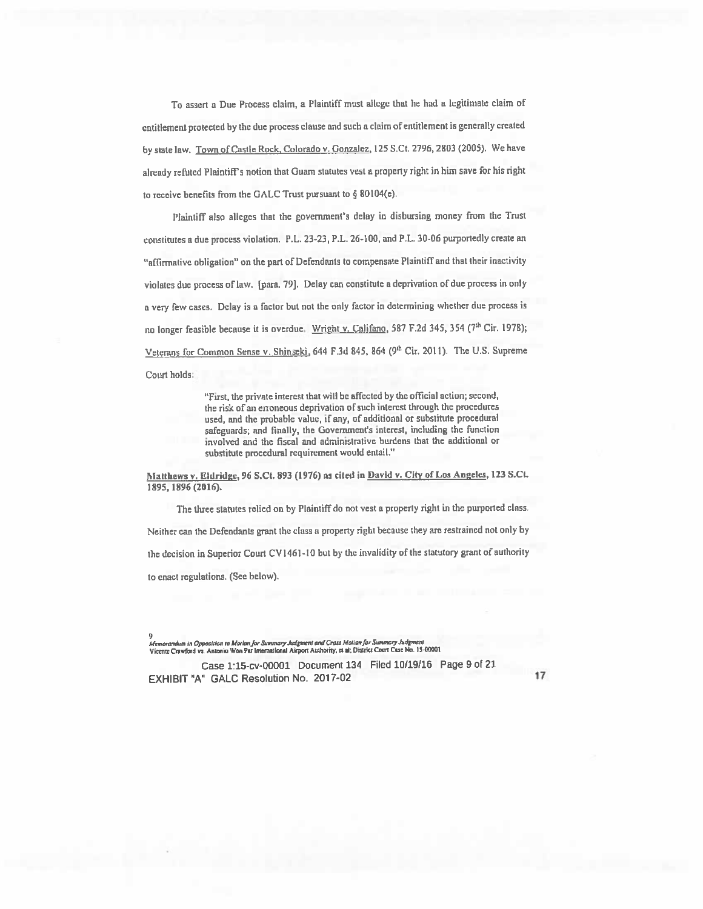To assert <sup>a</sup> Due Process claim, <sup>a</sup> Plaintiff must allege that he had <sup>a</sup> legitimate claim of ertitlernent protected by the due process clause and such <sup>a</sup> claim of entitlement is generally created by state law. Town of Castle Rock, Colorado v. Gonzalez, 125 S.Ct. 2796, 2803 (2005). We have already refuted Plaintiffs notion that Guam statutes vest <sup>a</sup> property right in him save for his right to receive benefits from the GAUC Trust pursuan<sup>t</sup> to § <sup>80</sup> I04(e).

Plaintiff also alleges that the government's delay in disbursing money from the Trust constitutes a due process violation. P.L. 23-23, P.L. 26-100, and P.L. 30-06 purportedly create an "affirmative obligation" on the par<sup>t</sup> of Defendants to compensate Plaintiff and that their inactivity violates due process of law. [para. 79]. Delay can constitute <sup>a</sup> deprivation of due process in only <sup>a</sup> very few cases. Delay is <sup>a</sup> factor but not the only factor in determining whether due process is no longer feasible because it is overdue. Wright v. Califano, 587 F.2d 345, 354 (7th Cir. 1978); Veterans for Common Sense v. Shinseki, 644 F.3d 845, 864 (9th Cir. 2011). The U.S. Supreme Court holds:

> "First, the private interest that will be affected by the official action; second, the risk of an erroneous deprivation of such interest through the procedures used, and the probable value, if any, of additional or substitute procedural safeguards; and finally, the Govermnent's interest, including the function involved and the fiscal and administrative burdens that the additional or substitute procedural requirement would entail."

Matthews v. Eldridge, 96 S.Ct. 893 (1976) as cited in David v. City of Los Angeles, 123 S.Ct. 1895, 1896 (2016).

The three statutes relied on by Plaintiff do not vest a property right in the purported class. Neither can the Defendants gran<sup>t</sup> the class <sup>a</sup> property right because they are restrained not only by the decision in Superior Court CV1461-10 but by the invalidity of the statutory grant of authority to enact resulations. (See below).

9<br>Memorandum in Opposition to Motion for Summary Judgment and Cross Motion for Summary Judgment Vicente Crawford vs. Antonio Won Par International Airport Authority, et al; District Court Case No. 15-00001

Case 1:15-cv-00001 Document 134 Filed 10/19116 Page 9 of 21 EXHIBIT "A" GALC Resolution No. 2017-02 17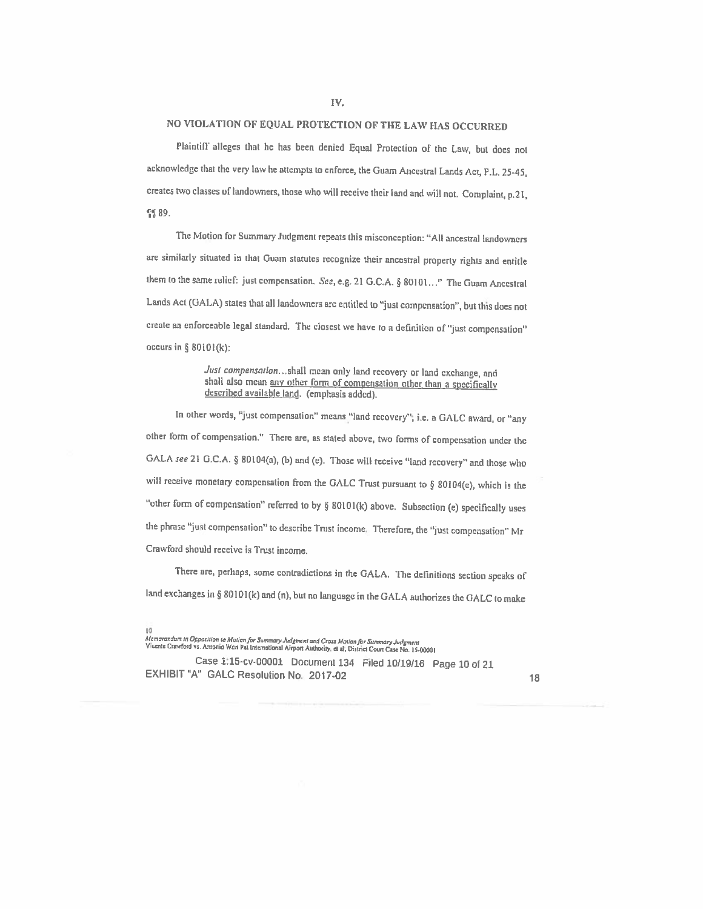#### lv.

## NO VIOLATION OF EQUAL PROTECTION OF THE LAW HAS OCCURRED

Plaintiff alleges that he has been denied Equal Protection of the Law, but does not acknowledge that the very law he attempts to enforce, the Guam Ancestral Lands Act, P.L. 25-45, creates two classes of landowners, those who will receive their land and will not. Complaint, p.21, 智89.

The Motion for Summary Judgment repeats this misconception: "All ancestral landowners are similarly situated in that Guam statutes recognize their ancestral property rights and entitle them to the same relief: just compensation. See, e.g. 21 G.C.A. § 80101..." The Guam Ancestral Lands Act (GALA) states that all landowners are entitled to "just compensation", but this does not create an enforceable legal standard. The closest we have to a definition of "just compensation" occurs in  $\S$  80101(k):

> Just compensation...shall mean only land recovery or land exchange, and shall also mean any other form of compensation other than a specifically described available land. (emphasis added).

In other words, "just compensation" means "land recovery"; i.e. a GALC award, or "any other form of compensation." There are, as staled above, two forms of compensation under the GALA see 21 G.C.A. § 80104(a), (b) and (e). Those will receive "land recovery" and those who will receive monetary compensation from the GALC Trust pursuant to § 80104(e), which is the "other form of compensation" referred to by § 80101(k) above. Subsection (e) specifically uses the phrase "just compensation" to describe Trust income. Therefore, the "just compensation" Mr Crawford should receive is Trust income.

There are, perhaps, some contradictions in the GALA. The definitions section speaks of land exchanges in § 80101(k) and (n), but no language in the GALA authorizes the GALC to make

Case 1:15-cv-00001 Document <sup>134</sup> Filed 10/19116 Page <sup>10</sup> ol <sup>21</sup> EXHIBIT"A" GALC Resolution No. 2017-02 <sup>18</sup>

<sup>10&</sup>lt;br>Memorandum in Opposition to Mation for Summary Judgment and Cross Mation for Summary Judgment<br>Vicente Crawford vs. Antonio Wan Pat International Airport Authority, et al, District Court Case No. 15-00001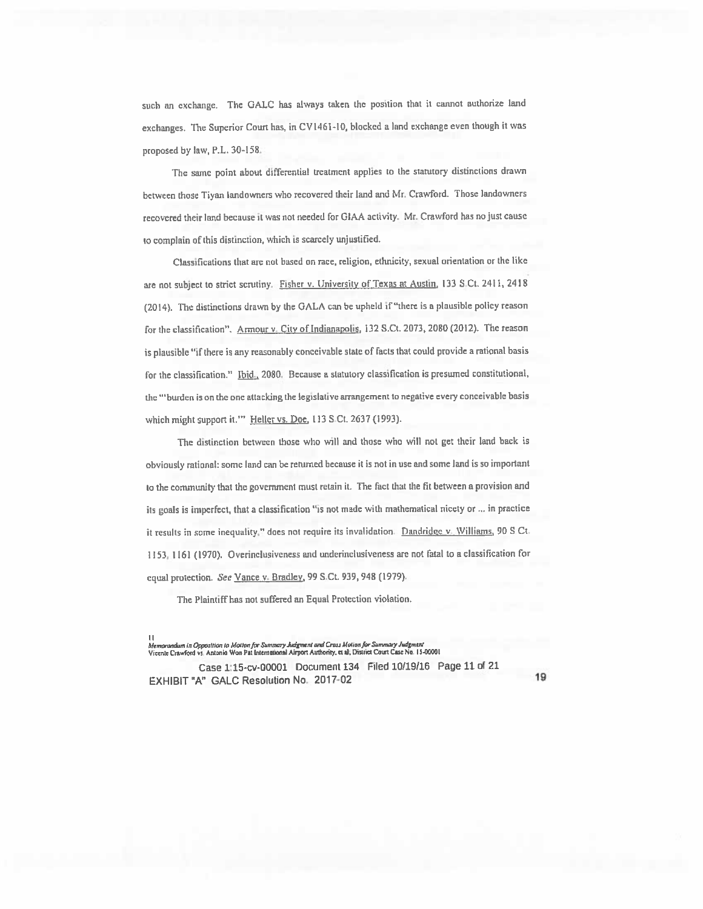such an exchange. The GALC has always taken the position that it cannot authorize land exchanges. The Superior Court has. in CV146i-10, blocked a land exchange even though it was proposed by law, P.L. 30-158.

The same point about differential treatment applies to the statutory distinctions drawn between those Tiyan landowners who recovered their land and Mr. Crawford. Those landowners recovered their land because it was not needed for GIAA activity. Mr. Crawford has no just cause to complain of this distinction, which is scarcely unjustified.

Classifications that are not based on race, religion, ethnicity, sexual orientation or the like are not subject to strict scrutiny. Fisher v. University of Texas at Austin. 133 S.Ct. 2411, 2418 (2014). The distinctions drawn by the GALA can be upheld if "there is <sup>a</sup> plausible policy reason for the classification". Armour v. City of Indianapolis, 132 S.Ct. 2073, 2080 (2012). The reason is plausible "if there is any reasonably conceivable state of facts that could provide <sup>a</sup> rational basis for the classification." Ibid., 2080. Because a statutory classification is presumed constitutional, the "burden is on the one attacking the legislative arrangement to negative every conceivable basis which might support it."" Heller vs. Doe, 113 S.Ct. 2637 (1993).

The distinction between those who will and those who will not get their land back is obviously rational: some land can be returned because it is not in use and some land is so important to the community that the government must retain it. The fact that the fit between a provision and its goals is imperfect, that <sup>a</sup> classification "is not made with mathematical nicety or . , in practice it results in some inequality." does not require its invalidation. Dandridge v. Williams, 90 S Ct. 1153,116l(1970). Overinclusiveness and underinclusiveness are not fatal to a classification for equal protection. See Vance v. Bradley, 99 S.Ct. 939, 948 (1979).

The Plaintiff has not suffered an Equal Protection violation.

Case 1:15-cv-00001 Document 134 Filed 10/19/16 Page 11 of 21 EXHIBIT "A" GALC Resolution No. 2017-02 19

<sup>.&</sup>lt;br>Memorandum in Opposition to Motton for Summary Judgment and Cross Motion for Summary Judgment<br>Vicente Crawford vs. Antonio Won Pat International Airport Authority, et al; District Court Case No. 15-00001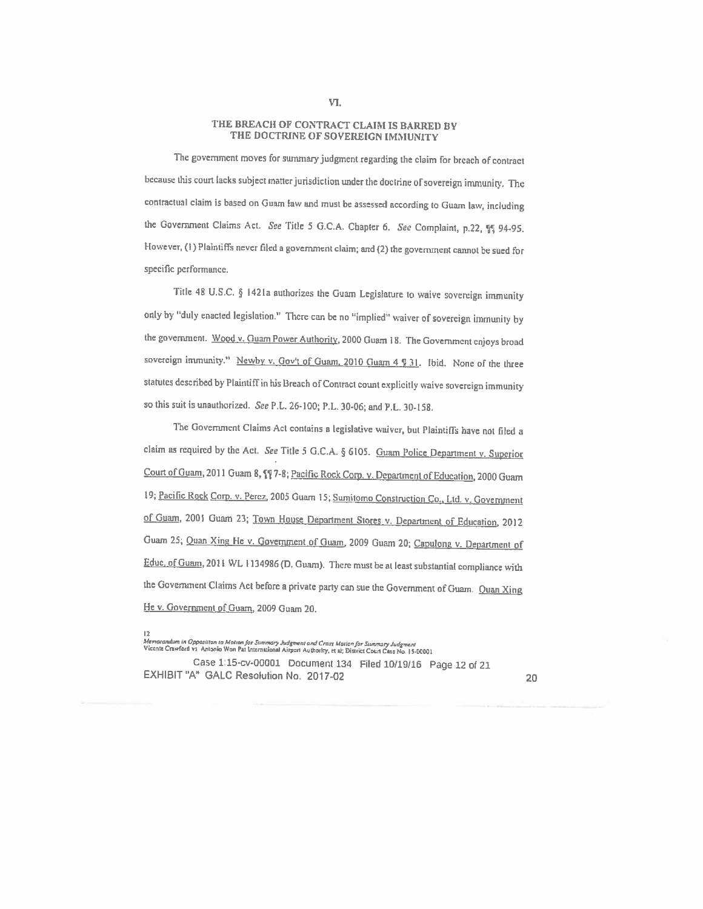### THE BREACh OF CONTRACT CLAIM IS BARRED BY THE DOCTRINE OF SOVEREIGN IMMUNITY

The government moves for summary judgment regarding the claim for breach of contract because this court lacks subject matter jurisdiction under the doctrine of sovereign immunity. The contractual claim is based on Guam law and must be assessed according to Guam law, including the Government Claims Act. See Title 5 G.C.A. Chapter 6. See Complaint, p.22, qq 94-95. However, (I) Plaintiffs never filed <sup>a</sup> government claim; and (2) the government cannot be sued for specific performance.

Title 48 U.S.C. § 1421a authorizes the Guam Legislature to waive sovereign immunity only by "duly enacted legislation." There can be no "implied" waiver of sovereign immunity by the government. Wood v. Guam Power Authority, 2000 Guam 18. The Government enjoys broad sovereign immunity." Newby v. Gov't of Guam, 2010 Guam 4 9 31. Ibid. None of the three statutes described by Plaintiff in his Breach of Contract count explicitly waive sovereign immunity so this suit is unauthorized. See P.L. 26-100; P.L. 30-06; and P.L. 30-158.

The Government Claims Act contains a legislative waiver, but Plaintiffs have not filed a claim as required by the Act. See Title 5 G.C.A. § 6105. Guam Police Department v. Superior Court of Guam, 2011 Guam 8, [1] 7-8; Pacific Rock Corp. v. Department of Education, 2000 Guam 19; Pacific Rock Corp. v. Perez, 2005 Guam 15; Sumitomo Construction Co., Ltd. v. Government of Guam, 2001 Guam 23; Town House Department Stores v. Department of Education, 2012 Guam 25; Quan Xing He v. Government of Guam, 2009 Guam 20; Capulong v. Department of Educ. of Guam, 2011 WL 1134986 (D. Guam). There must be at least substantial compliance with the Government Claims Act before a private party can sue the Government of Guam. Quan Xing He v. Government of Guam, 2009 Guam 20.

Case 1:16-cv-00001 Document <sup>134</sup> Filed 10/19/16 Page <sup>12</sup> ci <sup>21</sup> EXRISIT"A" GALC Resolution No. 2017-02 20

l 2<br>Memorandum in Oppasition to Motton for Summary Judgewent and Crass Motton for Summary Judgment<br>Vicente Crawford vs. Antonio Won Pat International Airpon Authority, et al: District Court Case No. 15-00001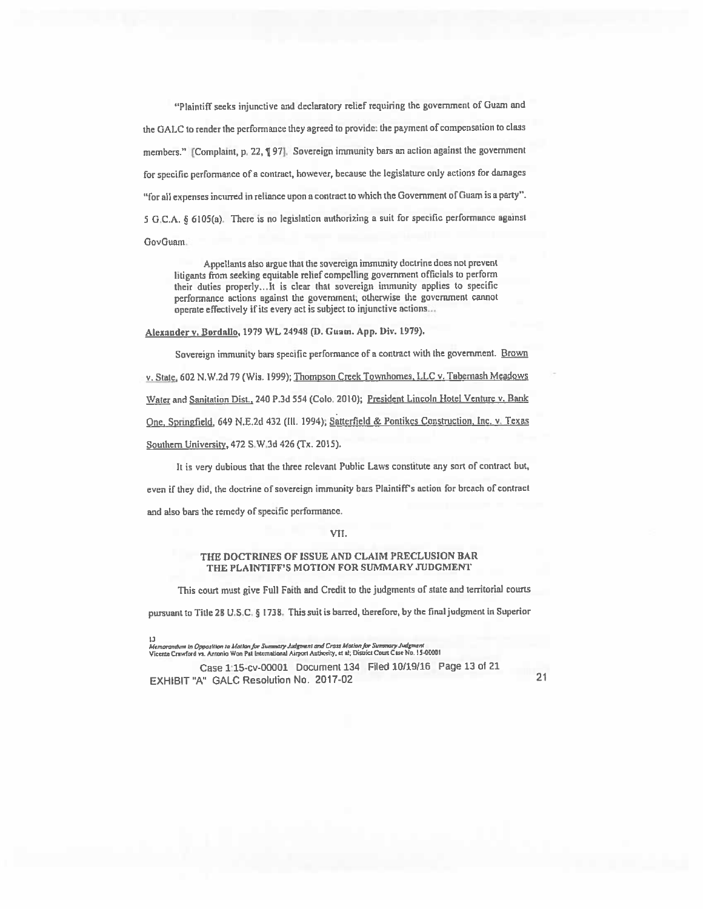"Plaintift seeks injunctive and declaratory relief requiring the government of Guam and the GALC to render the performance they agreed to provide: the payment of compensation to class members." [Complaint, p. 22, ¶ 97]. Sovereign immunity bars an action against the government for specific performance of a contract, however, because the legislature only actions for damages "for all expenses incurred in reliance upon <sup>a</sup> contract to which the Government of Guam is a party". <sup>5</sup> G.C.A. § GlOS(a). There is no legislation authorizing <sup>a</sup> suit for specific performance against GovGuam.

Appellants also argue that the sovereign immunity doctrine does not prevent litigants from seeking equitable relief compelling government officials to perform their duties properly... It is clear that sovereign immunity applies to specific performance actions against the government; otherwise the government cannot operate effectively if its every act is subject to injunctive actions...

Alexander v. Bordallo, 1979 WL 24948 (D. Guam. App. Div. 1979).

Sovereign immunity bars specific performance of a contract with the government. Brown v.State, 602 N.W,2d 79 (Wis. 1999); Thompson Creek Townhomes, LLC v. Tabernash Meadows Water and Sanitation Dist., 240 P.3d 554 (Colo. 2010); President Lincoln Hotel Venture v. Bank One, Springfield, 649 N.E.2d 432 (Ill. 1994); Satterfield & Pontikes Construction, Inc. v. Texas Southern University, 472 S.W.3d 426 (Tx. 2015). It is very dubious that the three relevant Public Laws constitute any sort of contract but,

even if they did, the doctrine of sovereign immunity bars Plaintiff's action for breach of contract and also bars the remedy of specific performance.

#### VII.

#### THE DOCTRINES OF ISSUE AND CLAIM PRECLUSION BAR THE PLAINTIFF'S MOTION FOR SUMMARY JUDGMENT

This court must give Full Foith and Credit to the judgments of state and territorial courts

pursuant to Title <sup>28</sup> U.S.C. § 1738. This suit is barred, therefore, by the final judgment in Superior

Case 115-cv-00001 Document 134 Filed 10/19/16 Page 13 of 21 EXHIBIT "A" GALC Resolution No. 2017-02 21

<sup>1.1&</sup>lt;br>Me*morandum in Opposition to Motion for Swmmary Judgment and Cross Motion for Summary Judgment*<br>Vicente Crawford vs. Antonio Won Pat International Airport Authority, et al; District Court Case No. 15-00001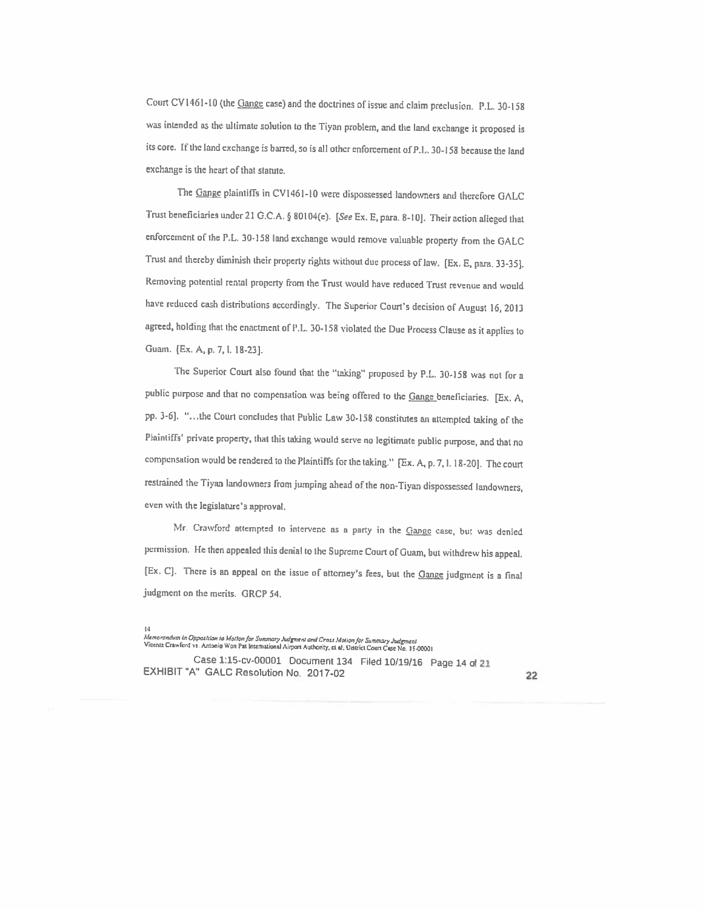Court CV1461-10 (the Gange case) and the doctrines of issue and claim preclusion. P.L. 30-158 was intended as the ultimate solution to the Tiyan problem, and the land exchange it proposed is its core. If the land exchange is barred, so is all other enforcement of P.L. 30-158 because the land exchange is the heart of that statute.

The Gange plaintiffs in CV1461-10 were dispossessed landowners and therefore GALC Trust beneficiaries under 21 G.C.A. § 80104(e). [See Ex. E, para. 8-10]. Their action alleged that enforcement of the P.L. 30-158 land exchange would remove valuable property from the GALC Trust and thereby diminish their property rights without due process of law. [Ex. E, para. 33-35]. Removing potential rental property from the Trust would have reduced Trust revenue and would have reduced cash distributions accordingly. The Superior Court's decision of August 16, <sup>2013</sup> agreed, holding that the enactment of FL. 30-158 violated the Due Process Clause as it applies to Guam. [Ex. A, p. 7, l. 18-23].

The Superior Court also found that the "taking" proposed by P.L. 30-158 was not for a public purpose and that no compensation was being offered to the Gange beneficiaries. [Ex. A, pp. 3-6]. "...the Court concludes that Public Law 30-158 constitutes an attempted taking of the Plaintiffs' private property, that this taking would serve no legitimate public purpose, and that no compensation would be rendered to the Plaintiffs for the taking." [Ex. A, p. 7, l. 18-20]. The court restrained the Tiyan landowners fromjumping ahead of the non-Tiyan dispossessed landowners, even with the legislature's approval.

Mr. Crawford attempted to intervene as a party in the Gange case, but was denied permission. He then appealed this denial to the Supreme Court of Guam, but withdrew his appeal. [Ex. C]. There is an appeal on the issue of attorney's fees, but the Gange judgment is a final judgmcnt on the merits. GRCP 54.

Case 1:15-cv-00001 Document <sup>134</sup> Filed <sup>10119116</sup> Page <sup>14</sup> of <sup>21</sup> EXHIBIT"A" GALC Resolution No. 2017-02 <sup>22</sup>

<sup>14&</sup>lt;br>Memorandum in Opposition to Matlon for Summary Judgment and Cross Motion for Summary Judgment<br>Vicente Crawford vs. Antonio Won Pat International Airport Authority, et al; District Court Case No. 15-00001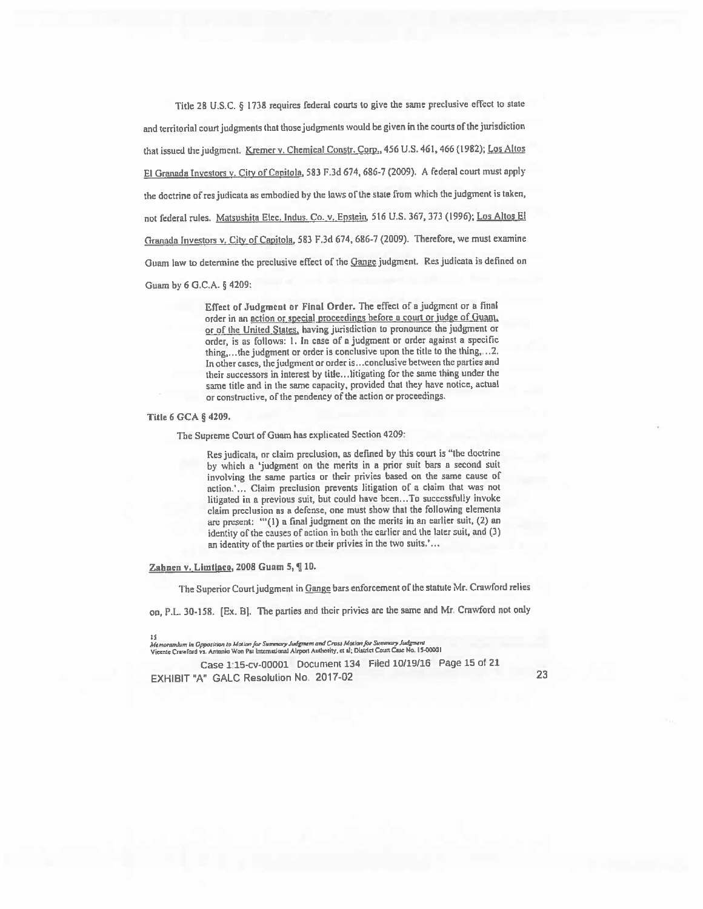Title <sup>28</sup> U.S.C. § <sup>1738</sup> requires federal courts to <sup>g</sup>ive the same preclusive eftect to slate and territorial court judgments that those judgments would be given in the courts of the jurisdiction that issued the judgment. Kremer v. Chemical Constr. Corp., 456 U.S. 461, 466 (1982); Los Altos El Granada Investors v. City of Capitola, 583 F.3d 674, 686-7 (2009). A federal court must apply the doctrine of res judicata as embodied by the laws of the state from which the judgment is taken, not federal rules. Matsushita Elec. Indus. Co. v, Epstein, 516 U.S. 367, 373 (1996); Los Altos El Granada Investors v. City of Capitola, <sup>583</sup> F.3d 674. 686-7 (2009). Therefore, we must examine Guam law to determine the preclusive effect of the Gange judgment. Res judicata is defined on Guam by <sup>6</sup> O.C,A. § 4209:

> Effect of Judgment or Final Order. The effect of <sup>a</sup> judgment or <sup>a</sup> final order in an action or special proceedings before a court or judge of Guam, or of the United States, having jurisdiction to pronounce the judgment or order, is as follows: 1. In case of a judgment or order against a specific thing,.. the judgment or order is conclusive upon the title to the thing,.. .2. In other cases, the judgment or order is... conclusive between the parties and their successors in interest by title.. litigating for the same thing under the same title and in the same capacity, provided that they have notice, actual or constructive, of the pendency of the action or proceedings.

Title <sup>6</sup> CCA § 4209.

The Supreme Court of Guam has explicated Section 4209:

Res judicata, or claim preclusion, as defined by this court is "the doctrine by which a 'judgment on the merits in a prior suit bars a second suit involving the same parties or their privies based on the same cause of action.'... Claim preclusion prevents litigation of <sup>a</sup> claim that was not litigated in a previous suit, but could have been...To successfully invoke claim preclusion as <sup>a</sup> defense, one must show that the following elements are present: "(1) a final judgment on the merits in an earlier suit, (2) an identity of the causes of action in both the earlier and the later suit, and (3) an identity of the parties or their privies in the two suits.'...

Zahnen v. Limtiaco, 2008 Guam 5, ¶ 10.

The Superior Court judgment in Gange bars enforcement of the statute Mr. Crawford relies

on, P.L. 30-158. [Ex. B]. The parties and their privies are the same and Mr. Crawford not only

Case 1:15-cv-00001 Document 134 Piled 10/19/16 Page 15 of <sup>21</sup> EXHIBIT"A" GALC Resolution No. 2017-02 <sup>23</sup>

t S<br>Memorandum in Opposition to Mation for Summary Judgment and Cross Motion for Summary Judgment<br>Viccnic Crewfard vs. Antanio Won Pet Internetional Alrport Authority, ct el; District Court Case No. 15-00001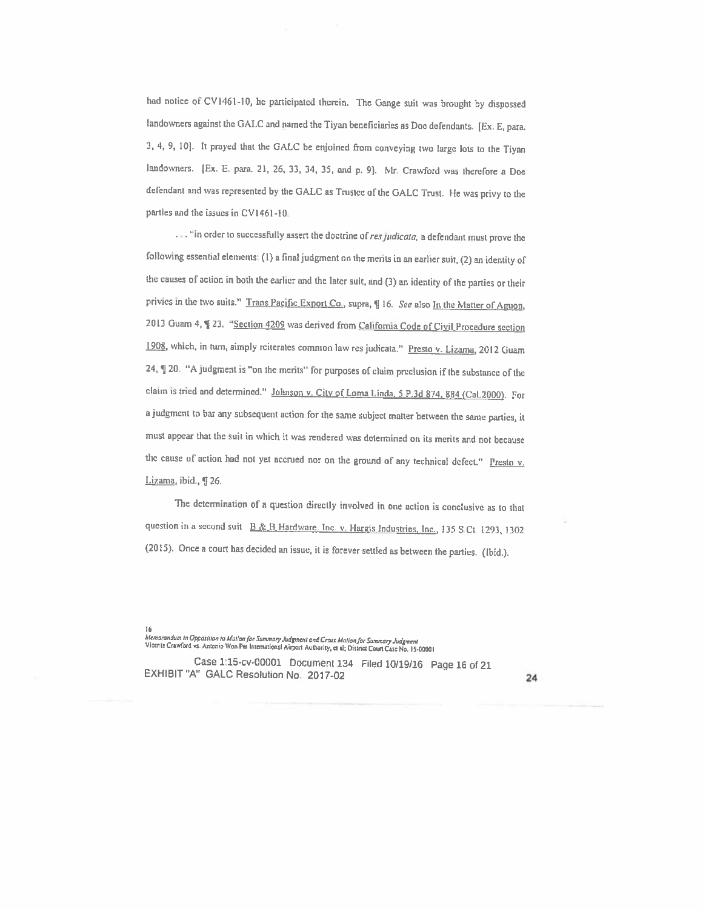had notice of CV l46l-l0, he panicipated therein. The Gange suit was brought by dispossed landowners against the GALC and named the Tiyan beneficiaries as Doe defendants. [Ex. E, para. 3. 4, 9, 10]. It prayed that the GALC be enjoined from conveying two large lots to the Tiyan landowners. [Ex. E. para. 21, 26, 33, 34, 35, and p. 9]. Mr. Crawford was therefore a Doe defendant and was represented by the GALC as Trustee of the GALC Trust. He was privy to the parties and the issues in CV1461-10.

 $\ldots$  "in order to successfully assert the doctrine of res judicata, a defendant must prove the following essential elements: (I) <sup>a</sup> final judgment on the merits in an earlier suit, (2) an identity of the causes of action in both the earlier and the later suit, and (3) an identity of the parties or their privies in the two suits." Trans Pacific Export Co., supra, ¶ 16. See also In the Matter of Aguon, 2013 Guam 4, § 23. "Section 4209 was derived from California Code of Civil Procedure section 1908, which, in turn, simply reiterates common law res judicata." Presto v. Lizama, 2012 Guam 24, ¶20. "A judgment is "on the merits" for purposes of claim preclusion if the substance of the claim is tried and determined." Johnson v. City of Loma Linda. <sup>5</sup> P.3d 874, <sup>884</sup> (CaL2000). For <sup>a</sup> judgment to bar any subsequent action for the same subject matter between the same panics, it must appear that the suit in which it was rendered was determined on its merits and not because the cause of action had not yet accrued nor on the ground of any technical defect." Presto  $v$ . Lizama, ibid., ¶ 26.

The determination of a question directly involved in one action is conclusive as to that question in a second suit **H&B Hardware**, Inc. v. Hargis Industries, Inc., 135 S.Ct. 1293, 1302 (2015). Once a court has decided an issue, it is forever settled as between the parties. (Ibid.).

Case l:15-cv-0000l Document <sup>134</sup> Filed 10/19/16 Page <sup>16</sup> of <sup>21</sup> EXHIBIT"A" GALC Resolution No. 2017-02 <sup>24</sup>

<sup>16&</sup>lt;br>Memorandum in Opposition to Motion for Summary Judgment and Cross Motion for Summary Judgment<br>Vicents Crawford vs. Antonio Wen Pal International Airport Authority, et al; District Court Case No. 15-00001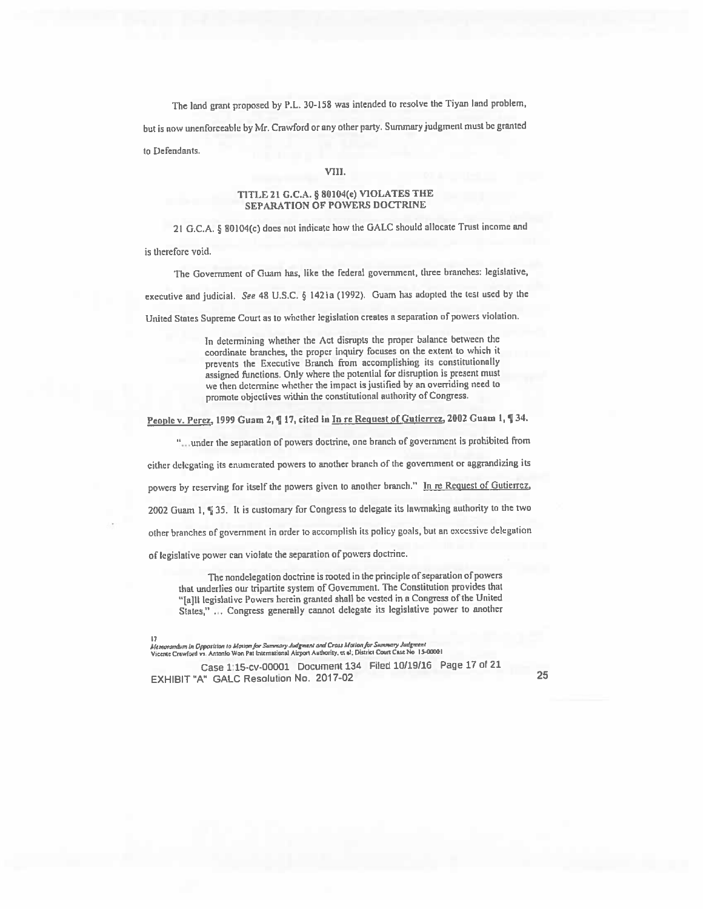The land grant proposed by P.L. 30-158 was intended to resolve the Tiyan land problem,

but is now unenforceable by Mr. Crawford or any other party. Summary judgment must be granted

to Defendants.

#### VIII.

#### TITLE <sup>21</sup> G.C.A. § BOIO4(e) VIOLATES THE **SEPARATION OF POWERS DOCTRINE**

21 G.C.A. § 80104(c) does not indicate how the GALC should allocate Trust income and

is therefore void.

The Government of Guam has, like the federal government, three branches: legislative, executive and judicial. See <sup>48</sup> U.S.C. § 142la (1992). Guam has adopted the Lest used by the United States Supreme Court as to whether legislation creates a separation of powers violation.

In determining whether the Act disrupts the proper balance between the

coordinate branches, the proper inquiry focuses on the extent to which it prevents the Executive Branch from accomplishing its constitutionally assigned functions. Only where the potential for disruption is present must we then detennine whether the impact is justified by an overriding need to promote objectives within the constitutional authority of Congress.

People v. Perez, 1999 Guam 2, ¶ 17, cited in In re Request of Gutierrez, 2002 Guam 1, ¶ 34.

"under the separation of powers doctrine, one branch of governmen<sup>t</sup> is prohibited from

cither delegating its enumerated powers to another branch of the government or aggrandizing its

powers by reserving for itself the powers given to another branch." In re Request of Gutierrez,

<sup>2002</sup> Guam I, ¶ 35. It is customary for Congress to delegate its lawmaking authority to the two

other branches of governmen<sup>t</sup> in order to accomplish its policy goals, but an excessive delegation

of legislative power can violate the separation of powers doctrine.

The nondelegation doctrine is rooted in the principle of separation of powers that underlies our tripartite system of Government. The Constitution provides that "[ajIl legislative Powers herein granted shall be vested in <sup>a</sup> Congress of the United States," ... Congress generally cannot delegate its legislative power to another

l 7<br>Memorandum in Opposition to Motion for Summary Judgment and Cross Motion for Summary Judgment<br>Vicente Crewford vi. Antonio Won Pet International Airport Authority, et al; District Court Case No 15-00001

Case 1:15-cv-00001 Document <sup>134</sup> Filed 10/19/16 Page <sup>17</sup> of <sup>21</sup> EXHIBIT"A" GALC Resolution No. 2017-02 <sup>25</sup>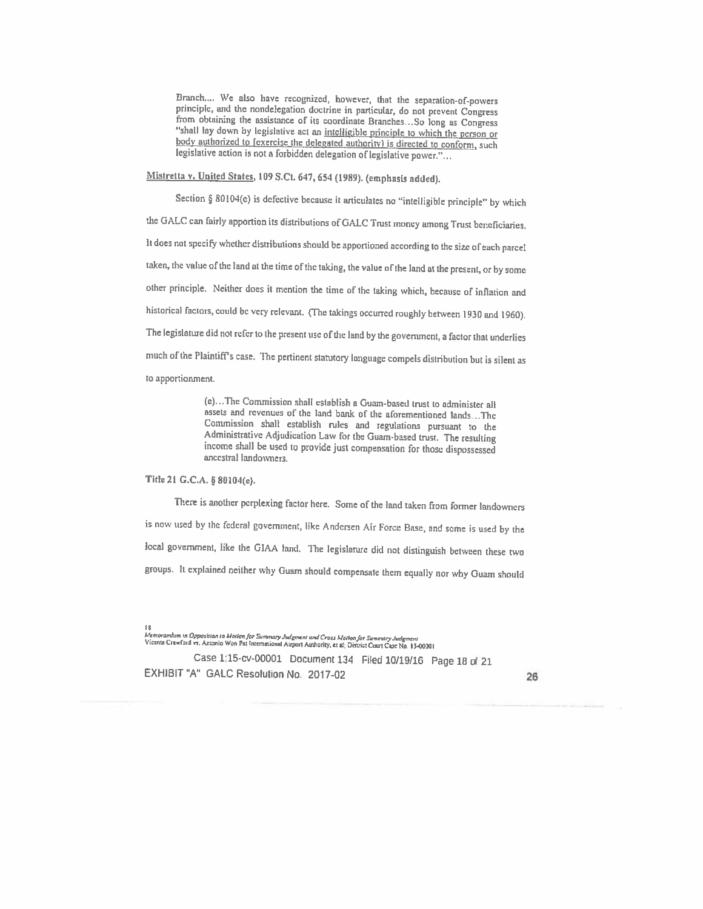Branch.... We also have recognized, however, that the separation-of-powers principle, and the nondelegation doctrine in particular, do not prevent Congress from obtaining the assistance of its coordinate Branches. So long as Congress "shall lay down by legislative act an intelligible principle to which the person or body authorized to [exercise the delegated authority] is directed to conform, such legislative action is not a forbidden delegation of legislative power."...

Mistretta v. United States, <sup>109</sup> S.Ct. 647, <sup>654</sup> (1989). (emphasis added).

Section § 80104(e) is defective because it articulates no "intelligible principle" by which the GALC can fairly apportion its distributions of GALC Trust money among Trust beneficiaries. It does not specify whether distributions should be apportioned according to the size of each parcel taken, the value of the land at the time of the taking, the value of the land at the present, or by some other principle. Neither does it mention the time of the taking which, because of inflation and historical factors, could be very relevant. (The takings occurred roughly between <sup>1930</sup> and 1960). The legislature did not refer to the present use of the land by the government, <sup>a</sup> factor that underlies much of the Plaintiff's case. The pertinent statutory language compels distribution but is silent as to apportionment.

> (e)- The Commission shall establish <sup>a</sup> Guam-based trust to administer all assets and revenues of the land bank of the aforementioned lands,...The Commission shall establish rules and regulations pursuant to the Administrative Adjudication Law for the Guam-based trust. The resulting income shall be used to provide just compensation for those dispossessed ancestral landowners.

### Title <sup>21</sup> G.C.A. § 80104(e).

There is another perplexing factor here. Some of the land taken from former landowners is now used by the federal government, like Andersen Air Force Base, and some is used by the local government, like the GIAA land. The legislature did not distinguish between these two groups. It explained neither why Guam should compensate them equally nor why Guam should

I 8<br>Memorandum in Opposition to Motion for Summary Judgment and Cross Motion for Summary Judgment<br>Vicente Crawford vs. Antonio Won Pat International Airport Authority, et al; District Court Case No. 13-00001

Case 1:15-cv-00001 Document <sup>134</sup> Filed 10/19/16 Page <sup>18</sup> of <sup>21</sup>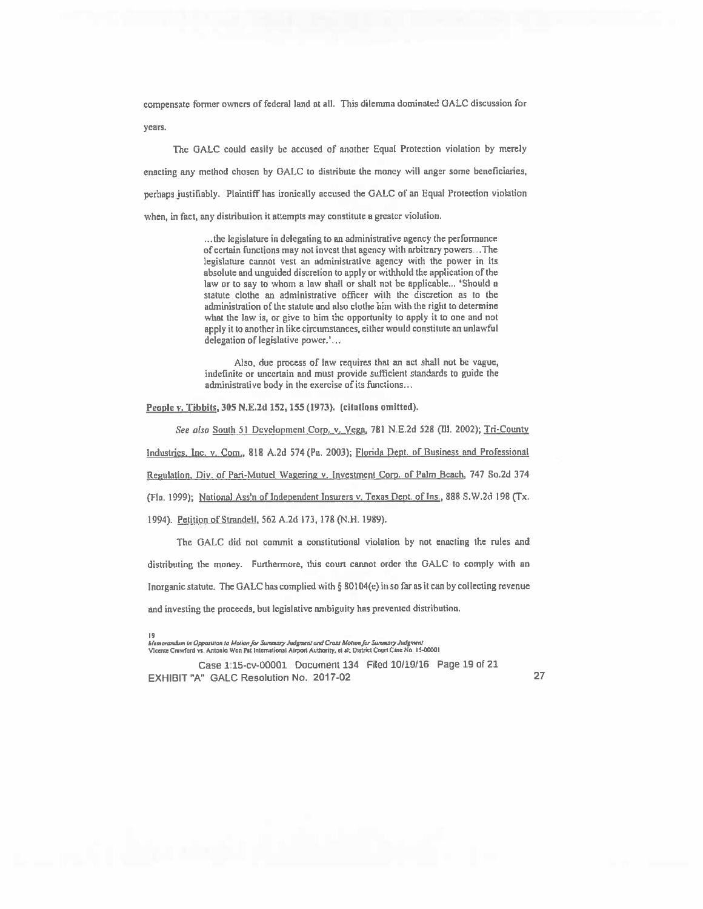compensate former owners of federal land at all. This dilemma dominated GALC discussion for years.

The GALC could easily be accused of another Equal Protection violation by merely enacting any method chosen by GALC to distribute the money will anger some beneficiaries, perhaps justifiably. Plaintiff has ironically accused the GALC of an Equal Protection violation when, in fact, any distribution it attempts may constitute a greater violation.

> ...the legislature in delegating to an administrative agency the performance of certain functions may not invest that agency with arbitrary powers...The legislature cannot vest an administrative agency with the power in its absolute and unguided discretion to apply or withhold the application of the law or to say to whom a law shall or shall not be applicable... 'Should a statute clothe an administrative officer with the discretion as to the administration of the statute and also clothe him with the right to determine what the law is, or give to him the opportunity to apply it to one and not apply it to another in like circumstances, either would constitute an unlawful delegation of legislative power.'...

> Also, due process of law requires that an act shall not be vague, indefinite or uncertain and must provide sufficient standards to guide the administrative body in the exercise of its functions...

People y. Tibbits, 305 N.E.2d 152, 155 (1973). (citations omitted).

See also South 51 Development Corp. v. Vega, 781 N.E.2d 528 (Ill. 2002); Tri-County Industries, Inc. v. Com., 818 A.2d 574 (Pa. 2003); Florida Dept. of Business and Professional Regulation. Div. of Pari-Mutuel Wagering v. Investment Corp. of Palm Beach, 747 So,2d 374 (Fla. 1999); National Ass'n of Independent Insurers v. Texas Dept. of Ins., 888 S.W.2d 198 (Tx. 1994). Petition of Strandell, 562 A.2d 173, 178 (N.H. 1989).

The OALC did not commit a constitutional violation by not enacting the rules and distributing the money. Furthermore, this court cannot order the GALC to comply with an Inorganic statute. The GALC has complied with § 80104(e) in so far as it can by collecting revenue and investing the proceeds, but legislative ambiguity has prevented distribution.

Case 115-cv-00001 Document 134 Filed 10/19)16 Page 19 of 21 EXHIBIT 'A" GALC Resolution No. 2017-02 27

<sup>19&</sup>lt;br>Memarandum in Opposition to Motion for Summary Judgment and Cross Motion for Summary Judgmen Vicente Crawford vs. Antonio Won Pat International Airport Authority, et al; District Court Case No. 15-00001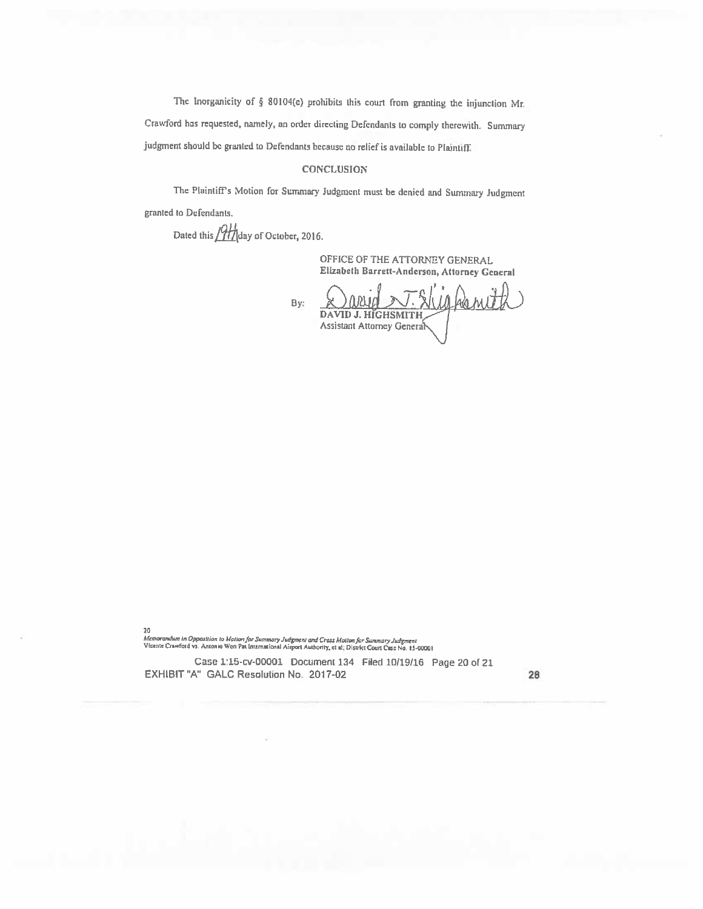The lnorganicity of  $\S$  80104(e) prohibits this court from granting the injunction Mr. Crawford has requested, namely, an order directing Defendants to comply therewith. Summary judgment should bc granted to Defendants because no relief is available to Plaintift

### **CONCLUSION**

The Plaintiff's Motion for Summary Judgment must be denied and Summary Judgment granted to Defendants.

Dated this  $/2$ *th* day of October, 2016.

OFFICE OF THE ATTORNEY GENERAL Elizabeth Barrett-Anderson, Attorney General

II) ka nJ By: DAVID J. HIGHSMITH Assistant Attorney General

20

Memorandum in Opposition to Mation for Summary Judgment and Cross Mation for Summary Judgm<del>e</del>nt<br>Vicente Crawford vs. Antonio Won Pat International Airport Authority, et al; District Court Case No. 15-00001

Case t15-cv-00001 Document <sup>134</sup> Piled 10/19/16 Page <sup>20</sup> of <sup>21</sup> EXHIBIT"A" GALC Resolution No. 2017-02 28